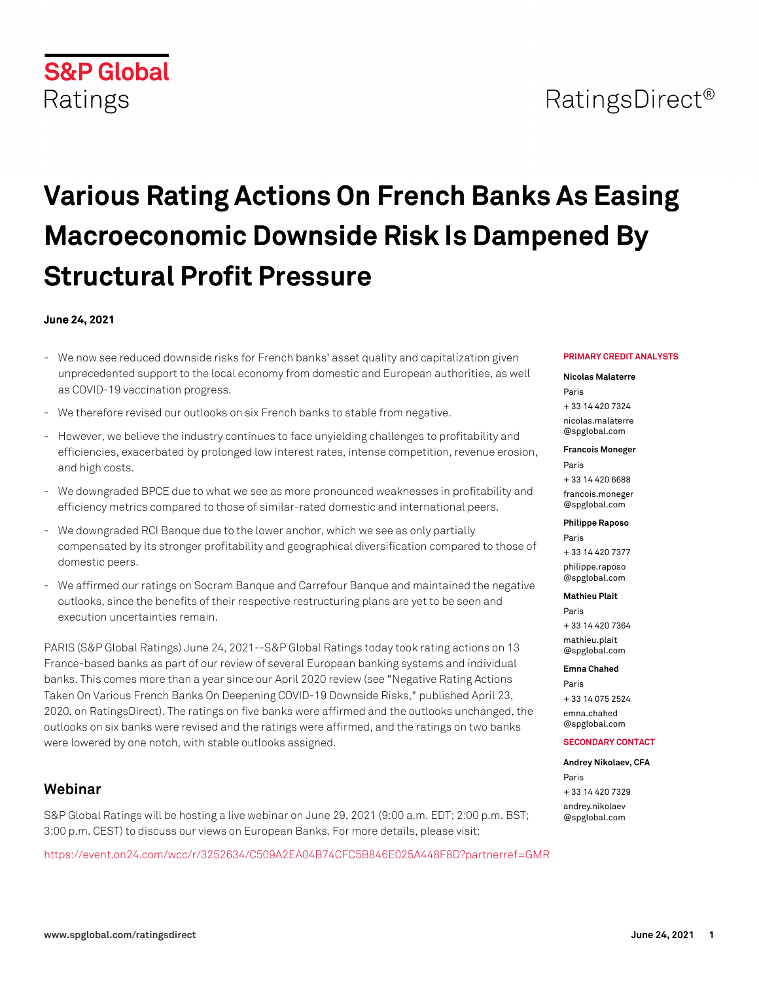# RatingsDirect<sup>®</sup>

# **Various Rating Actions On French Banks As Easing Macroeconomic Downside Risk Is Dampened By Structural Profit Pressure**

## **June 24, 2021**

**S&P Global** 

Ratings

- We now see reduced downside risks for French banks' asset quality and capitalization given unprecedented support to the local economy from domestic and European authorities, as well as COVID-19 vaccination progress.
- We therefore revised our outlooks on six French banks to stable from negative.
- However, we believe the industry continues to face unyielding challenges to profitability and efficiencies, exacerbated by prolonged low interest rates, intense competition, revenue erosion, and high costs.
- We downgraded BPCE due to what we see as more pronounced weaknesses in profitability and efficiency metrics compared to those of similar-rated domestic and international peers.
- We downgraded RCI Banque due to the lower anchor, which we see as only partially compensated by its stronger profitability and geographical diversification compared to those of domestic peers.
- We affirmed our ratings on Socram Banque and Carrefour Banque and maintained the negative outlooks, since the benefits of their respective restructuring plans are yet to be seen and execution uncertainties remain.

PARIS (S&P Global Ratings) June 24, 2021--S&P Global Ratings today took rating actions on 13 France-based banks as part of our review of several European banking systems and individual banks. This comes more than a year since our April 2020 review (see "Negative Rating Actions Taken On Various French Banks On Deepening COVID-19 Downside Risks," published April 23, 2020, on RatingsDirect). The ratings on five banks were affirmed and the outlooks unchanged, the outlooks on six banks were revised and the ratings were affirmed, and the ratings on two banks were lowered by one notch, with stable outlooks assigned.

# **Webinar**

S&P Global Ratings will be hosting a live webinar on June 29, 2021 (9:00 a.m. EDT; 2:00 p.m. BST; 3:00 p.m. CEST) to discuss our views on European Banks. For more details, please visit:

<https://event.on24.com/wcc/r/3252634/C509A2EA04B74CFC5B846E025A448F8D?partnerref=GMR>

#### **PRIMARY CREDIT ANALYSTS**

#### **Nicolas Malaterre**

Paris + 33 14 420 7324 [nicolas.malaterre](mailto: nicolas.malaterre@spglobal.com) [@spglobal.com](mailto: nicolas.malaterre@spglobal.com)

# **Francois Moneger**

Paris + 33 14 420 6688 [francois.moneger](mailto: francois.moneger@spglobal.com) [@spglobal.com](mailto: francois.moneger@spglobal.com)

#### **Philippe Raposo**

Paris + 33 14 420 7377 [philippe.raposo](mailto: philippe.raposo@spglobal.com) [@spglobal.com](mailto: philippe.raposo@spglobal.com)

#### **Mathieu Plait**

Paris + 33 14 420 7364 [mathieu.plait](mailto: mathieu.plait@spglobal.com) [@spglobal.com](mailto: mathieu.plait@spglobal.com)

#### **Emna Chahed**

Paris + 33 14 075 2524 [emna.chahed](mailto: emna.chahed@spglobal.com) [@spglobal.com](mailto: emna.chahed@spglobal.com)

#### **SECONDARY CONTACT**

#### **Andrey Nikolaev, CFA**

Paris + 33 14 420 7329 [andrey.nikolaev](mailto: andrey.nikolaev@spglobal.com) [@spglobal.com](mailto: andrey.nikolaev@spglobal.com)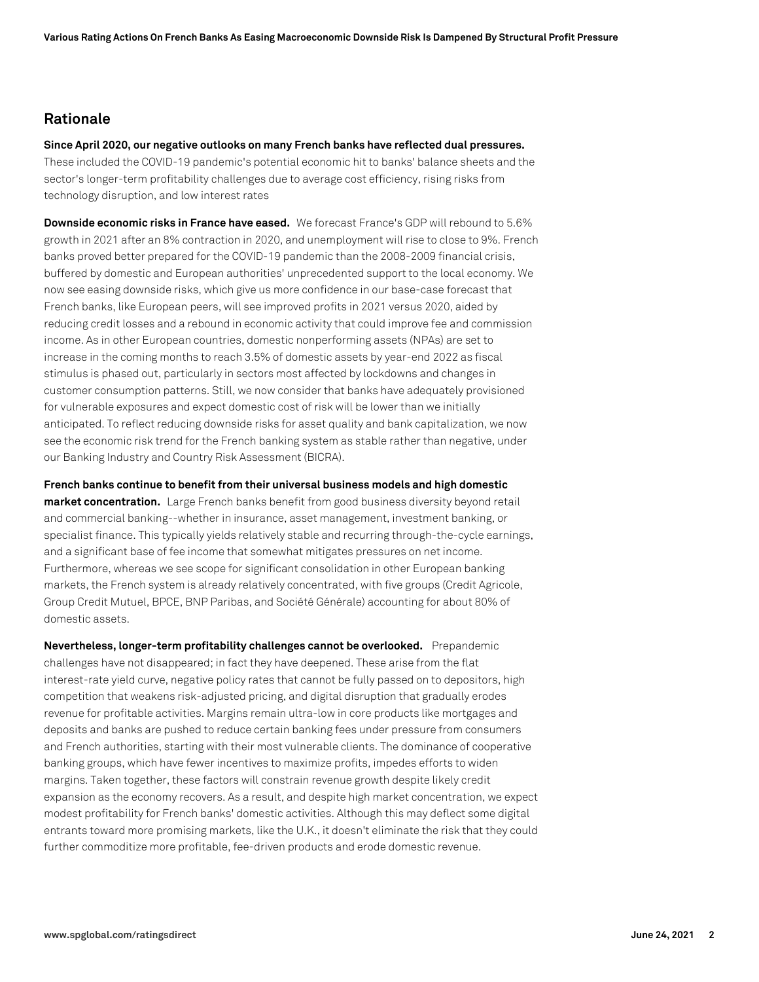## **Rationale**

**Since April 2020, our negative outlooks on many French banks have reflected dual pressures.**

These included the COVID-19 pandemic's potential economic hit to banks' balance sheets and the sector's longer-term profitability challenges due to average cost efficiency, rising risks from technology disruption, and low interest rates

**Downside economic risks in France have eased.** We forecast France's GDP will rebound to 5.6% growth in 2021 after an 8% contraction in 2020, and unemployment will rise to close to 9%. French banks proved better prepared for the COVID-19 pandemic than the 2008-2009 financial crisis, buffered by domestic and European authorities' unprecedented support to the local economy. We now see easing downside risks, which give us more confidence in our base-case forecast that French banks, like European peers, will see improved profits in 2021 versus 2020, aided by reducing credit losses and a rebound in economic activity that could improve fee and commission income. As in other European countries, domestic nonperforming assets (NPAs) are set to increase in the coming months to reach 3.5% of domestic assets by year-end 2022 as fiscal stimulus is phased out, particularly in sectors most affected by lockdowns and changes in customer consumption patterns. Still, we now consider that banks have adequately provisioned for vulnerable exposures and expect domestic cost of risk will be lower than we initially anticipated. To reflect reducing downside risks for asset quality and bank capitalization, we now see the economic risk trend for the French banking system as stable rather than negative, under our Banking Industry and Country Risk Assessment (BICRA).

**French banks continue to benefit from their universal business models and high domestic market concentration.** Large French banks benefit from good business diversity beyond retail and commercial banking--whether in insurance, asset management, investment banking, or specialist finance. This typically yields relatively stable and recurring through-the-cycle earnings, and a significant base of fee income that somewhat mitigates pressures on net income. Furthermore, whereas we see scope for significant consolidation in other European banking markets, the French system is already relatively concentrated, with five groups (Credit Agricole, Group Credit Mutuel, BPCE, BNP Paribas, and Société Générale) accounting for about 80% of domestic assets.

**Nevertheless, longer-term profitability challenges cannot be overlooked.** Prepandemic challenges have not disappeared; in fact they have deepened. These arise from the flat interest-rate yield curve, negative policy rates that cannot be fully passed on to depositors, high competition that weakens risk-adjusted pricing, and digital disruption that gradually erodes revenue for profitable activities. Margins remain ultra-low in core products like mortgages and deposits and banks are pushed to reduce certain banking fees under pressure from consumers and French authorities, starting with their most vulnerable clients. The dominance of cooperative banking groups, which have fewer incentives to maximize profits, impedes efforts to widen margins. Taken together, these factors will constrain revenue growth despite likely credit expansion as the economy recovers. As a result, and despite high market concentration, we expect modest profitability for French banks' domestic activities. Although this may deflect some digital entrants toward more promising markets, like the U.K., it doesn't eliminate the risk that they could further commoditize more profitable, fee-driven products and erode domestic revenue.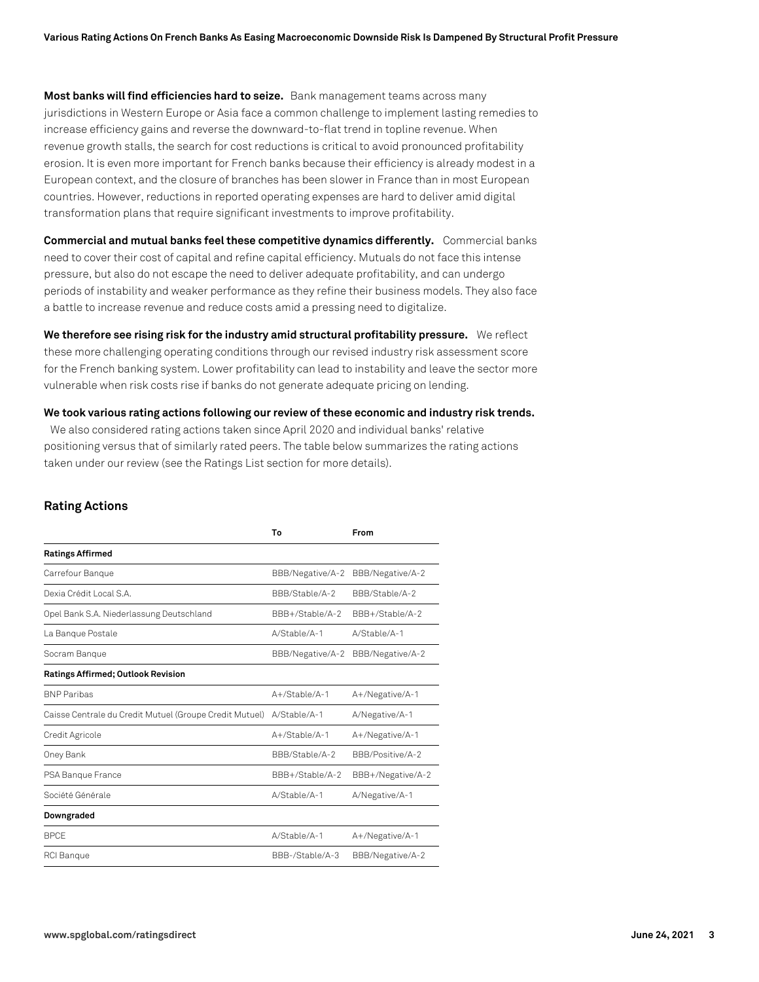**Most banks will find efficiencies hard to seize.** Bank management teams across many jurisdictions in Western Europe or Asia face a common challenge to implement lasting remedies to increase efficiency gains and reverse the downward-to-flat trend in topline revenue. When revenue growth stalls, the search for cost reductions is critical to avoid pronounced profitability erosion. It is even more important for French banks because their efficiency is already modest in a European context, and the closure of branches has been slower in France than in most European countries. However, reductions in reported operating expenses are hard to deliver amid digital transformation plans that require significant investments to improve profitability.

**Commercial and mutual banks feel these competitive dynamics differently.** Commercial banks need to cover their cost of capital and refine capital efficiency. Mutuals do not face this intense pressure, but also do not escape the need to deliver adequate profitability, and can undergo periods of instability and weaker performance as they refine their business models. They also face a battle to increase revenue and reduce costs amid a pressing need to digitalize.

**We therefore see rising risk for the industry amid structural profitability pressure.** We reflect these more challenging operating conditions through our revised industry risk assessment score for the French banking system. Lower profitability can lead to instability and leave the sector more vulnerable when risk costs rise if banks do not generate adequate pricing on lending.

**We took various rating actions following our review of these economic and industry risk trends.**

We also considered rating actions taken since April 2020 and individual banks' relative positioning versus that of similarly rated peers. The table below summarizes the rating actions taken under our review (see the Ratings List section for more details).

#### **Rating Actions**

| Тο               | From              |
|------------------|-------------------|
|                  |                   |
| BBB/Negative/A-2 | BBB/Negative/A-2  |
| BBB/Stable/A-2   | BBB/Stable/A-2    |
| BBB+/Stable/A-2  | BBB+/Stable/A-2   |
| A/Stable/A-1     | A/Stable/A-1      |
| BBB/Negative/A-2 | BBB/Negative/A-2  |
|                  |                   |
| A+/Stable/A-1    | A+/Negative/A-1   |
| A/Stable/A-1     | A/Negative/A-1    |
| $A+$ /Stable/A-1 | A+/Negative/A-1   |
| BBB/Stable/A-2   | BBB/Positive/A-2  |
| BBB+/Stable/A-2  | BBB+/Negative/A-2 |
| A/Stable/A-1     | A/Negative/A-1    |
|                  |                   |
| A/Stable/A-1     | A+/Negative/A-1   |
| BBB-/Stable/A-3  | BBB/Negative/A-2  |
|                  |                   |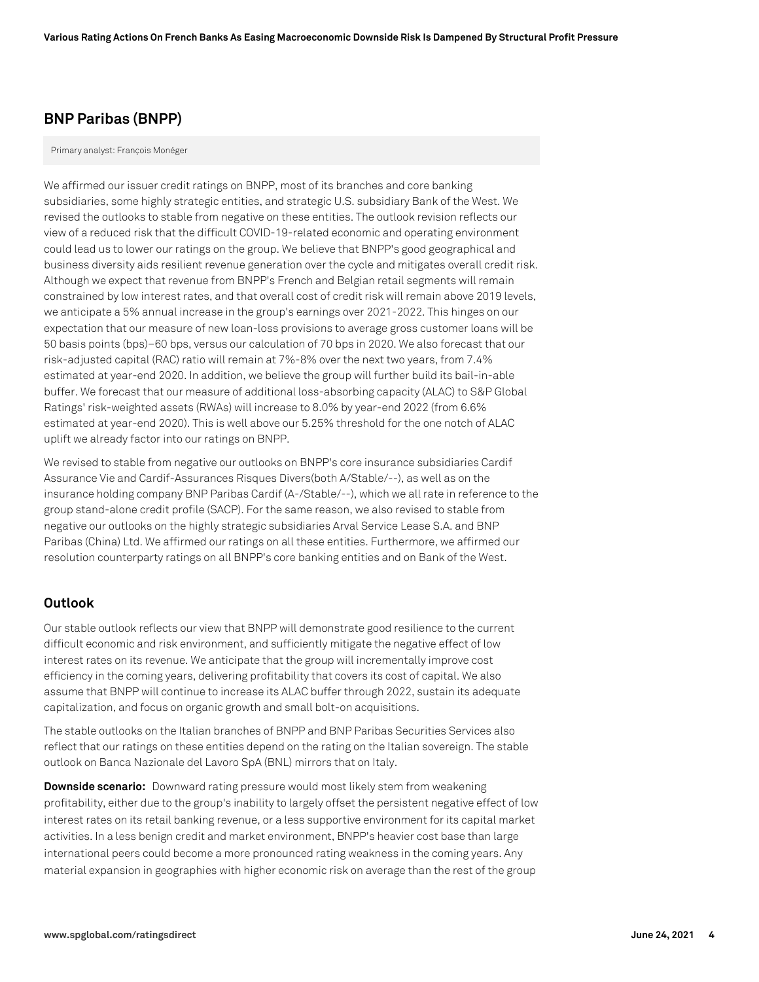## **BNP Paribas (BNPP)**

#### Primary analyst: François Monéger

We affirmed our issuer credit ratings on BNPP, most of its branches and core banking subsidiaries, some highly strategic entities, and strategic U.S. subsidiary Bank of the West. We revised the outlooks to stable from negative on these entities. The outlook revision reflects our view of a reduced risk that the difficult COVID-19-related economic and operating environment could lead us to lower our ratings on the group. We believe that BNPP's good geographical and business diversity aids resilient revenue generation over the cycle and mitigates overall credit risk. Although we expect that revenue from BNPP's French and Belgian retail segments will remain constrained by low interest rates, and that overall cost of credit risk will remain above 2019 levels, we anticipate a 5% annual increase in the group's earnings over 2021-2022. This hinges on our expectation that our measure of new loan-loss provisions to average gross customer loans will be 50 basis points (bps)–60 bps, versus our calculation of 70 bps in 2020. We also forecast that our risk-adjusted capital (RAC) ratio will remain at 7%-8% over the next two years, from 7.4% estimated at year-end 2020. In addition, we believe the group will further build its bail-in-able buffer. We forecast that our measure of additional loss-absorbing capacity (ALAC) to S&P Global Ratings' risk-weighted assets (RWAs) will increase to 8.0% by year-end 2022 (from 6.6% estimated at year-end 2020). This is well above our 5.25% threshold for the one notch of ALAC uplift we already factor into our ratings on BNPP.

We revised to stable from negative our outlooks on BNPP's core insurance subsidiaries Cardif Assurance Vie and Cardif-Assurances Risques Divers(both A/Stable/--), as well as on the insurance holding company BNP Paribas Cardif (A-/Stable/--), which we all rate in reference to the group stand-alone credit profile (SACP). For the same reason, we also revised to stable from negative our outlooks on the highly strategic subsidiaries Arval Service Lease S.A. and BNP Paribas (China) Ltd. We affirmed our ratings on all these entities. Furthermore, we affirmed our resolution counterparty ratings on all BNPP's core banking entities and on Bank of the West.

## **Outlook**

Our stable outlook reflects our view that BNPP will demonstrate good resilience to the current difficult economic and risk environment, and sufficiently mitigate the negative effect of low interest rates on its revenue. We anticipate that the group will incrementally improve cost efficiency in the coming years, delivering profitability that covers its cost of capital. We also assume that BNPP will continue to increase its ALAC buffer through 2022, sustain its adequate capitalization, and focus on organic growth and small bolt-on acquisitions.

The stable outlooks on the Italian branches of BNPP and BNP Paribas Securities Services also reflect that our ratings on these entities depend on the rating on the Italian sovereign. The stable outlook on Banca Nazionale del Lavoro SpA (BNL) mirrors that on Italy.

**Downside scenario:** Downward rating pressure would most likely stem from weakening profitability, either due to the group's inability to largely offset the persistent negative effect of low interest rates on its retail banking revenue, or a less supportive environment for its capital market activities. In a less benign credit and market environment, BNPP's heavier cost base than large international peers could become a more pronounced rating weakness in the coming years. Any material expansion in geographies with higher economic risk on average than the rest of the group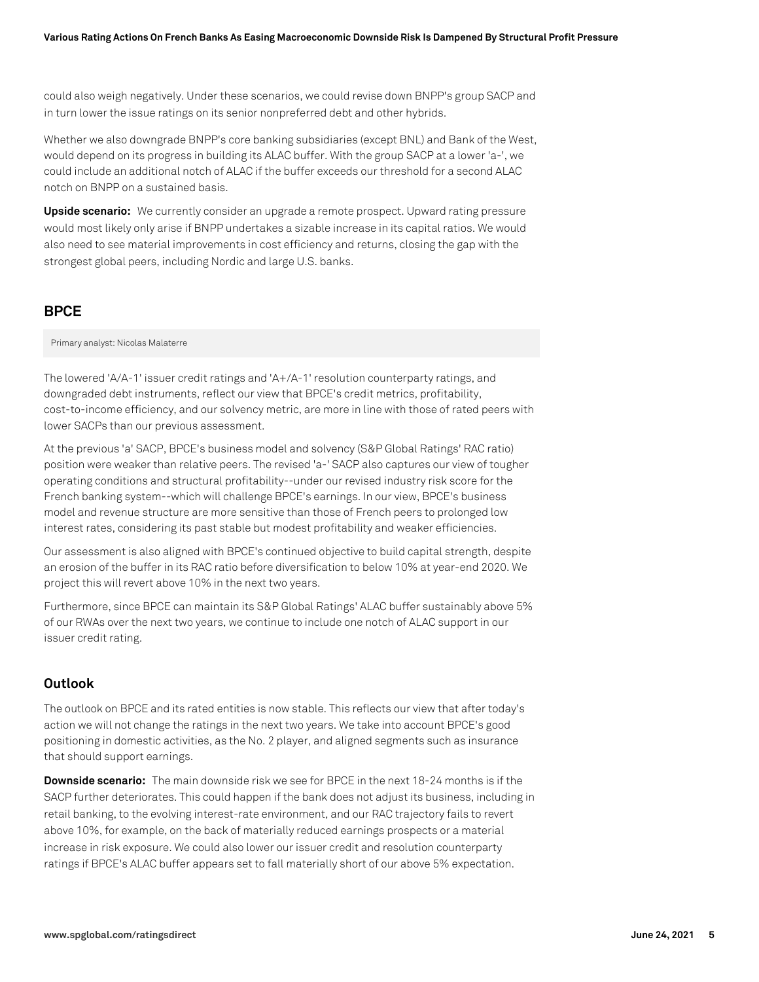could also weigh negatively. Under these scenarios, we could revise down BNPP's group SACP and in turn lower the issue ratings on its senior nonpreferred debt and other hybrids.

Whether we also downgrade BNPP's core banking subsidiaries (except BNL) and Bank of the West, would depend on its progress in building its ALAC buffer. With the group SACP at a lower 'a-', we could include an additional notch of ALAC if the buffer exceeds our threshold for a second ALAC notch on BNPP on a sustained basis.

**Upside scenario:** We currently consider an upgrade a remote prospect. Upward rating pressure would most likely only arise if BNPP undertakes a sizable increase in its capital ratios. We would also need to see material improvements in cost efficiency and returns, closing the gap with the strongest global peers, including Nordic and large U.S. banks.

# **BPCE**

Primary analyst: Nicolas Malaterre

The lowered 'A/A-1' issuer credit ratings and 'A+/A-1' resolution counterparty ratings, and downgraded debt instruments, reflect our view that BPCE's credit metrics, profitability, cost-to-income efficiency, and our solvency metric, are more in line with those of rated peers with lower SACPs than our previous assessment.

At the previous 'a' SACP, BPCE's business model and solvency (S&P Global Ratings' RAC ratio) position were weaker than relative peers. The revised 'a-' SACP also captures our view of tougher operating conditions and structural profitability--under our revised industry risk score for the French banking system--which will challenge BPCE's earnings. In our view, BPCE's business model and revenue structure are more sensitive than those of French peers to prolonged low interest rates, considering its past stable but modest profitability and weaker efficiencies.

Our assessment is also aligned with BPCE's continued objective to build capital strength, despite an erosion of the buffer in its RAC ratio before diversification to below 10% at year-end 2020. We project this will revert above 10% in the next two years.

Furthermore, since BPCE can maintain its S&P Global Ratings' ALAC buffer sustainably above 5% of our RWAs over the next two years, we continue to include one notch of ALAC support in our issuer credit rating.

## **Outlook**

The outlook on BPCE and its rated entities is now stable. This reflects our view that after today's action we will not change the ratings in the next two years. We take into account BPCE's good positioning in domestic activities, as the No. 2 player, and aligned segments such as insurance that should support earnings.

**Downside scenario:** The main downside risk we see for BPCE in the next 18-24 months is if the SACP further deteriorates. This could happen if the bank does not adjust its business, including in retail banking, to the evolving interest-rate environment, and our RAC trajectory fails to revert above 10%, for example, on the back of materially reduced earnings prospects or a material increase in risk exposure. We could also lower our issuer credit and resolution counterparty ratings if BPCE's ALAC buffer appears set to fall materially short of our above 5% expectation.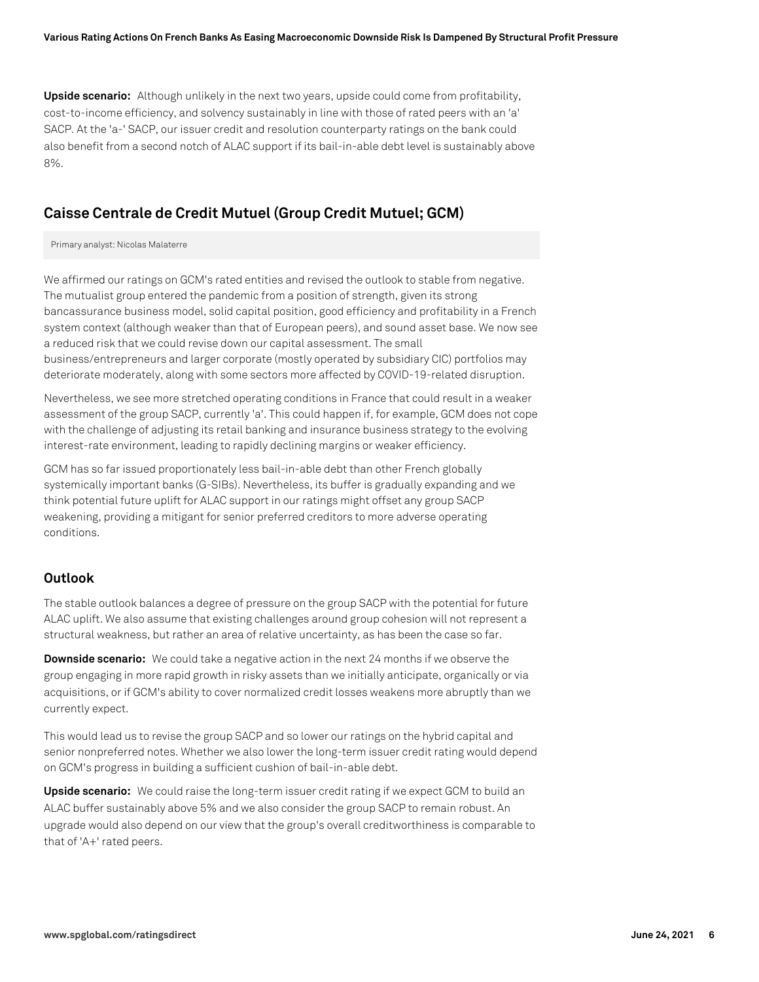**Upside scenario:** Although unlikely in the next two years, upside could come from profitability, cost-to-income efficiency, and solvency sustainably in line with those of rated peers with an 'a' SACP. At the 'a-' SACP, our issuer credit and resolution counterparty ratings on the bank could also benefit from a second notch of ALAC support if its bail-in-able debt level is sustainably above 8%.

## **Caisse Centrale de Credit Mutuel (Group Credit Mutuel; GCM)**

#### Primary analyst: Nicolas Malaterre

We affirmed our ratings on GCM's rated entities and revised the outlook to stable from negative. The mutualist group entered the pandemic from a position of strength, given its strong bancassurance business model, solid capital position, good efficiency and profitability in a French system context (although weaker than that of European peers), and sound asset base. We now see a reduced risk that we could revise down our capital assessment. The small business/entrepreneurs and larger corporate (mostly operated by subsidiary CIC) portfolios may deteriorate moderately, along with some sectors more affected by COVID-19-related disruption.

Nevertheless, we see more stretched operating conditions in France that could result in a weaker assessment of the group SACP, currently 'a'. This could happen if, for example, GCM does not cope with the challenge of adjusting its retail banking and insurance business strategy to the evolving interest-rate environment, leading to rapidly declining margins or weaker efficiency.

GCM has so far issued proportionately less bail-in-able debt than other French globally systemically important banks (G-SIBs). Nevertheless, its buffer is gradually expanding and we think potential future uplift for ALAC support in our ratings might offset any group SACP weakening, providing a mitigant for senior preferred creditors to more adverse operating conditions.

#### **Outlook**

The stable outlook balances a degree of pressure on the group SACP with the potential for future ALAC uplift. We also assume that existing challenges around group cohesion will not represent a structural weakness, but rather an area of relative uncertainty, as has been the case so far.

**Downside scenario:** We could take a negative action in the next 24 months if we observe the group engaging in more rapid growth in risky assets than we initially anticipate, organically or via acquisitions, or if GCM's ability to cover normalized credit losses weakens more abruptly than we currently expect.

This would lead us to revise the group SACP and so lower our ratings on the hybrid capital and senior nonpreferred notes. Whether we also lower the long-term issuer credit rating would depend on GCM's progress in building a sufficient cushion of bail-in-able debt.

**Upside scenario:** We could raise the long-term issuer credit rating if we expect GCM to build an ALAC buffer sustainably above 5% and we also consider the group SACP to remain robust. An upgrade would also depend on our view that the group's overall creditworthiness is comparable to that of 'A+' rated peers.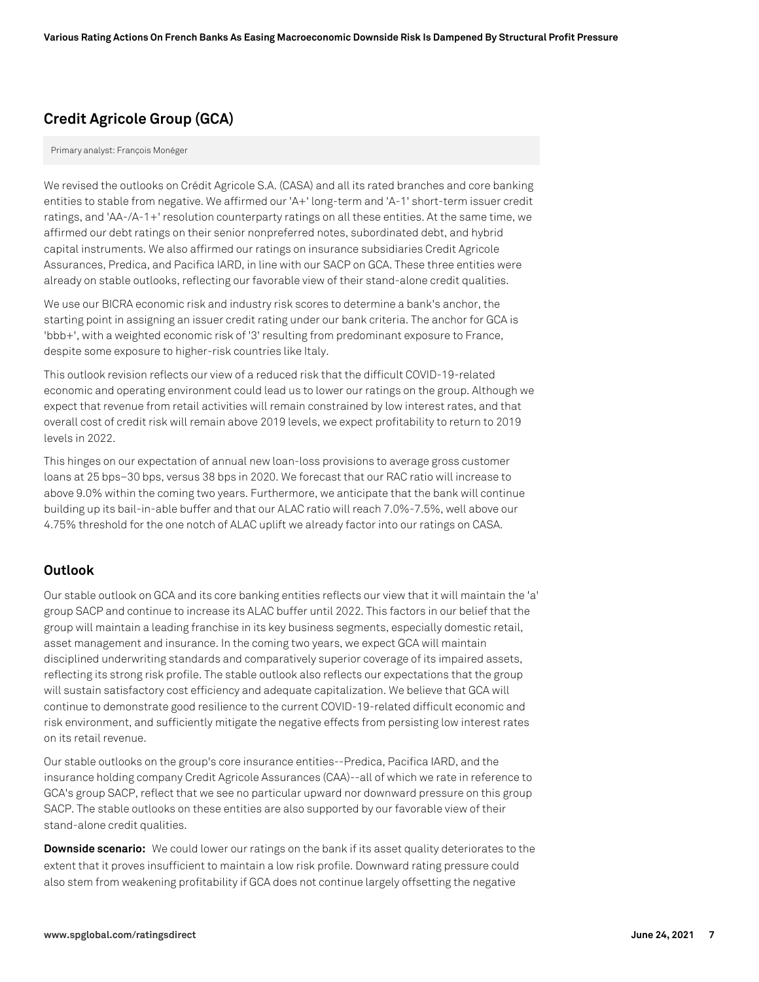# **Credit Agricole Group (GCA)**

Primary analyst: François Monéger

We revised the outlooks on Crédit Agricole S.A. (CASA) and all its rated branches and core banking entities to stable from negative. We affirmed our 'A+' long-term and 'A-1' short-term issuer credit ratings, and 'AA-/A-1+' resolution counterparty ratings on all these entities. At the same time, we affirmed our debt ratings on their senior nonpreferred notes, subordinated debt, and hybrid capital instruments. We also affirmed our ratings on insurance subsidiaries Credit Agricole Assurances, Predica, and Pacifica IARD, in line with our SACP on GCA. These three entities were already on stable outlooks, reflecting our favorable view of their stand-alone credit qualities.

We use our BICRA economic risk and industry risk scores to determine a bank's anchor, the starting point in assigning an issuer credit rating under our bank criteria. The anchor for GCA is 'bbb+', with a weighted economic risk of '3' resulting from predominant exposure to France, despite some exposure to higher-risk countries like Italy.

This outlook revision reflects our view of a reduced risk that the difficult COVID-19-related economic and operating environment could lead us to lower our ratings on the group. Although we expect that revenue from retail activities will remain constrained by low interest rates, and that overall cost of credit risk will remain above 2019 levels, we expect profitability to return to 2019 levels in 2022.

This hinges on our expectation of annual new loan-loss provisions to average gross customer loans at 25 bps–30 bps, versus 38 bps in 2020. We forecast that our RAC ratio will increase to above 9.0% within the coming two years. Furthermore, we anticipate that the bank will continue building up its bail-in-able buffer and that our ALAC ratio will reach 7.0%-7.5%, well above our 4.75% threshold for the one notch of ALAC uplift we already factor into our ratings on CASA.

## **Outlook**

Our stable outlook on GCA and its core banking entities reflects our view that it will maintain the 'a' group SACP and continue to increase its ALAC buffer until 2022. This factors in our belief that the group will maintain a leading franchise in its key business segments, especially domestic retail, asset management and insurance. In the coming two years, we expect GCA will maintain disciplined underwriting standards and comparatively superior coverage of its impaired assets, reflecting its strong risk profile. The stable outlook also reflects our expectations that the group will sustain satisfactory cost efficiency and adequate capitalization. We believe that GCA will continue to demonstrate good resilience to the current COVID-19-related difficult economic and risk environment, and sufficiently mitigate the negative effects from persisting low interest rates on its retail revenue.

Our stable outlooks on the group's core insurance entities--Predica, Pacifica IARD, and the insurance holding company Credit Agricole Assurances (CAA)--all of which we rate in reference to GCA's group SACP, reflect that we see no particular upward nor downward pressure on this group SACP. The stable outlooks on these entities are also supported by our favorable view of their stand-alone credit qualities.

**Downside scenario:** We could lower our ratings on the bank if its asset quality deteriorates to the extent that it proves insufficient to maintain a low risk profile. Downward rating pressure could also stem from weakening profitability if GCA does not continue largely offsetting the negative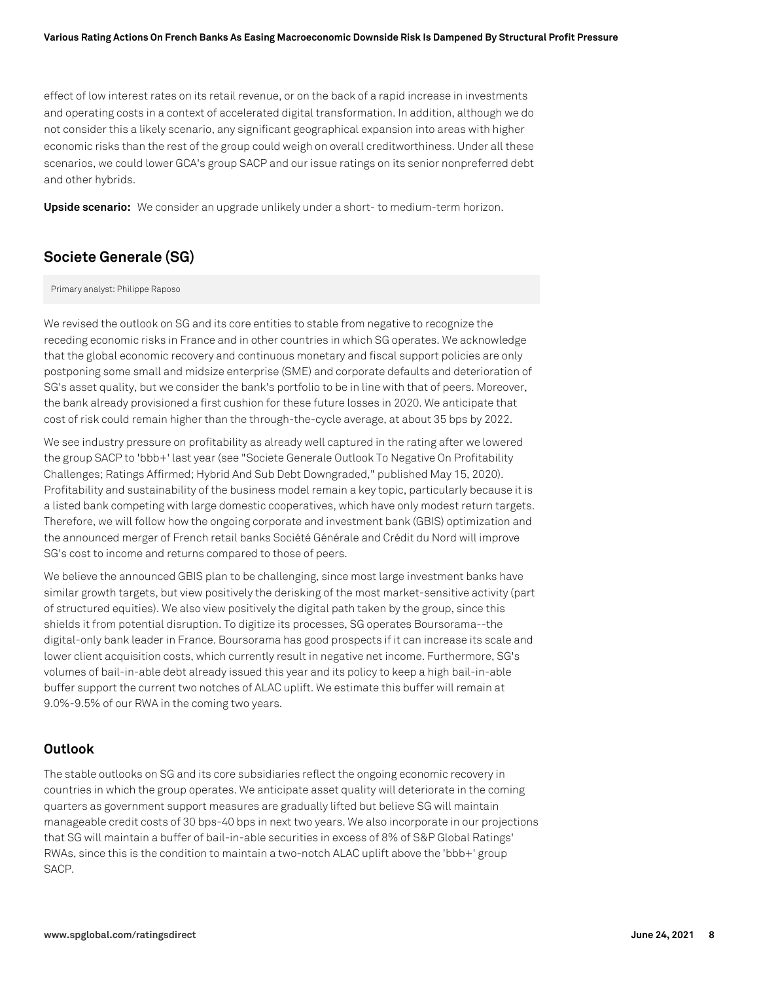effect of low interest rates on its retail revenue, or on the back of a rapid increase in investments and operating costs in a context of accelerated digital transformation. In addition, although we do not consider this a likely scenario, any significant geographical expansion into areas with higher economic risks than the rest of the group could weigh on overall creditworthiness. Under all these scenarios, we could lower GCA's group SACP and our issue ratings on its senior nonpreferred debt and other hybrids.

**Upside scenario:** We consider an upgrade unlikely under a short- to medium-term horizon.

# **Societe Generale (SG)**

Primary analyst: Philippe Raposo

We revised the outlook on SG and its core entities to stable from negative to recognize the receding economic risks in France and in other countries in which SG operates. We acknowledge that the global economic recovery and continuous monetary and fiscal support policies are only postponing some small and midsize enterprise (SME) and corporate defaults and deterioration of SG's asset quality, but we consider the bank's portfolio to be in line with that of peers. Moreover, the bank already provisioned a first cushion for these future losses in 2020. We anticipate that cost of risk could remain higher than the through-the-cycle average, at about 35 bps by 2022.

We see industry pressure on profitability as already well captured in the rating after we lowered the group SACP to 'bbb+' last year (see "Societe Generale Outlook To Negative On Profitability Challenges; Ratings Affirmed; Hybrid And Sub Debt Downgraded," published May 15, 2020). Profitability and sustainability of the business model remain a key topic, particularly because it is a listed bank competing with large domestic cooperatives, which have only modest return targets. Therefore, we will follow how the ongoing corporate and investment bank (GBIS) optimization and the announced merger of French retail banks Société Générale and Crédit du Nord will improve SG's cost to income and returns compared to those of peers.

We believe the announced GBIS plan to be challenging, since most large investment banks have similar growth targets, but view positively the derisking of the most market-sensitive activity (part of structured equities). We also view positively the digital path taken by the group, since this shields it from potential disruption. To digitize its processes, SG operates Boursorama--the digital-only bank leader in France. Boursorama has good prospects if it can increase its scale and lower client acquisition costs, which currently result in negative net income. Furthermore, SG's volumes of bail-in-able debt already issued this year and its policy to keep a high bail-in-able buffer support the current two notches of ALAC uplift. We estimate this buffer will remain at 9.0%-9.5% of our RWA in the coming two years.

## **Outlook**

The stable outlooks on SG and its core subsidiaries reflect the ongoing economic recovery in countries in which the group operates. We anticipate asset quality will deteriorate in the coming quarters as government support measures are gradually lifted but believe SG will maintain manageable credit costs of 30 bps-40 bps in next two years. We also incorporate in our projections that SG will maintain a buffer of bail-in-able securities in excess of 8% of S&P Global Ratings' RWAs, since this is the condition to maintain a two-notch ALAC uplift above the 'bbb+' group SACP.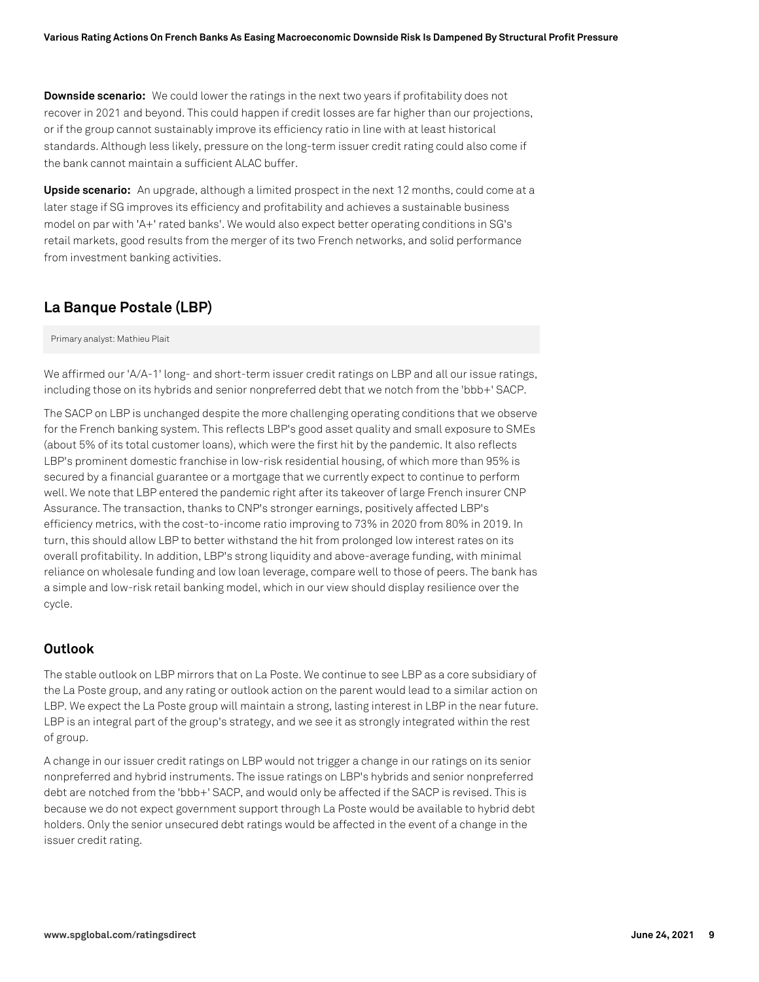**Downside scenario:** We could lower the ratings in the next two years if profitability does not recover in 2021 and beyond. This could happen if credit losses are far higher than our projections, or if the group cannot sustainably improve its efficiency ratio in line with at least historical standards. Although less likely, pressure on the long-term issuer credit rating could also come if the bank cannot maintain a sufficient ALAC buffer.

**Upside scenario:** An upgrade, although a limited prospect in the next 12 months, could come at a later stage if SG improves its efficiency and profitability and achieves a sustainable business model on par with 'A+' rated banks'. We would also expect better operating conditions in SG's retail markets, good results from the merger of its two French networks, and solid performance from investment banking activities.

# **La Banque Postale (LBP)**

Primary analyst: Mathieu Plait

We affirmed our 'A/A-1' long- and short-term issuer credit ratings on LBP and all our issue ratings, including those on its hybrids and senior nonpreferred debt that we notch from the 'bbb+' SACP.

The SACP on LBP is unchanged despite the more challenging operating conditions that we observe for the French banking system. This reflects LBP's good asset quality and small exposure to SMEs (about 5% of its total customer loans), which were the first hit by the pandemic. It also reflects LBP's prominent domestic franchise in low-risk residential housing, of which more than 95% is secured by a financial guarantee or a mortgage that we currently expect to continue to perform well. We note that LBP entered the pandemic right after its takeover of large French insurer CNP Assurance. The transaction, thanks to CNP's stronger earnings, positively affected LBP's efficiency metrics, with the cost-to-income ratio improving to 73% in 2020 from 80% in 2019. In turn, this should allow LBP to better withstand the hit from prolonged low interest rates on its overall profitability. In addition, LBP's strong liquidity and above-average funding, with minimal reliance on wholesale funding and low loan leverage, compare well to those of peers. The bank has a simple and low-risk retail banking model, which in our view should display resilience over the cycle.

## **Outlook**

The stable outlook on LBP mirrors that on La Poste. We continue to see LBP as a core subsidiary of the La Poste group, and any rating or outlook action on the parent would lead to a similar action on LBP. We expect the La Poste group will maintain a strong, lasting interest in LBP in the near future. LBP is an integral part of the group's strategy, and we see it as strongly integrated within the rest of group.

A change in our issuer credit ratings on LBP would not trigger a change in our ratings on its senior nonpreferred and hybrid instruments. The issue ratings on LBP's hybrids and senior nonpreferred debt are notched from the 'bbb+' SACP, and would only be affected if the SACP is revised. This is because we do not expect government support through La Poste would be available to hybrid debt holders. Only the senior unsecured debt ratings would be affected in the event of a change in the issuer credit rating.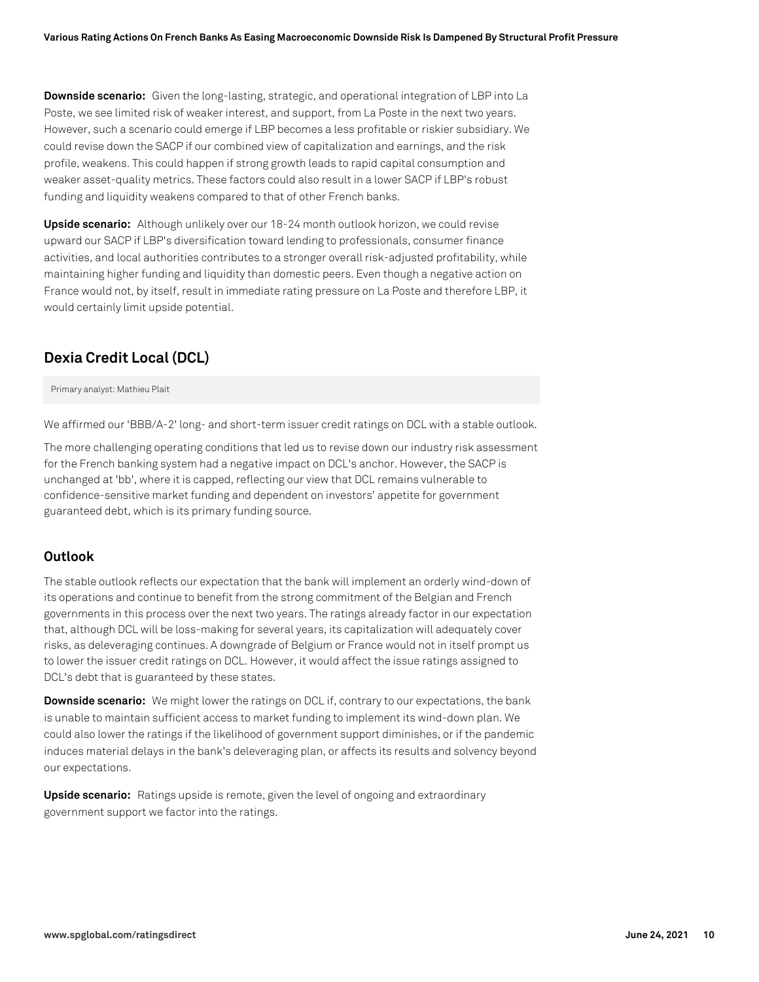**Downside scenario:** Given the long-lasting, strategic, and operational integration of LBP into La Poste, we see limited risk of weaker interest, and support, from La Poste in the next two years. However, such a scenario could emerge if LBP becomes a less profitable or riskier subsidiary. We could revise down the SACP if our combined view of capitalization and earnings, and the risk profile, weakens. This could happen if strong growth leads to rapid capital consumption and weaker asset-quality metrics. These factors could also result in a lower SACP if LBP's robust funding and liquidity weakens compared to that of other French banks.

**Upside scenario:** Although unlikely over our 18-24 month outlook horizon, we could revise upward our SACP if LBP's diversification toward lending to professionals, consumer finance activities, and local authorities contributes to a stronger overall risk-adjusted profitability, while maintaining higher funding and liquidity than domestic peers. Even though a negative action on France would not, by itself, result in immediate rating pressure on La Poste and therefore LBP, it would certainly limit upside potential.

## **Dexia Credit Local (DCL)**

Primary analyst: Mathieu Plait

We affirmed our 'BBB/A-2' long- and short-term issuer credit ratings on DCL with a stable outlook.

The more challenging operating conditions that led us to revise down our industry risk assessment for the French banking system had a negative impact on DCL's anchor. However, the SACP is unchanged at 'bb', where it is capped, reflecting our view that DCL remains vulnerable to confidence-sensitive market funding and dependent on investors' appetite for government guaranteed debt, which is its primary funding source.

#### **Outlook**

The stable outlook reflects our expectation that the bank will implement an orderly wind-down of its operations and continue to benefit from the strong commitment of the Belgian and French governments in this process over the next two years. The ratings already factor in our expectation that, although DCL will be loss-making for several years, its capitalization will adequately cover risks, as deleveraging continues. A downgrade of Belgium or France would not in itself prompt us to lower the issuer credit ratings on DCL. However, it would affect the issue ratings assigned to DCL's debt that is guaranteed by these states.

**Downside scenario:** We might lower the ratings on DCL if, contrary to our expectations, the bank is unable to maintain sufficient access to market funding to implement its wind-down plan. We could also lower the ratings if the likelihood of government support diminishes, or if the pandemic induces material delays in the bank's deleveraging plan, or affects its results and solvency beyond our expectations.

**Upside scenario:** Ratings upside is remote, given the level of ongoing and extraordinary government support we factor into the ratings.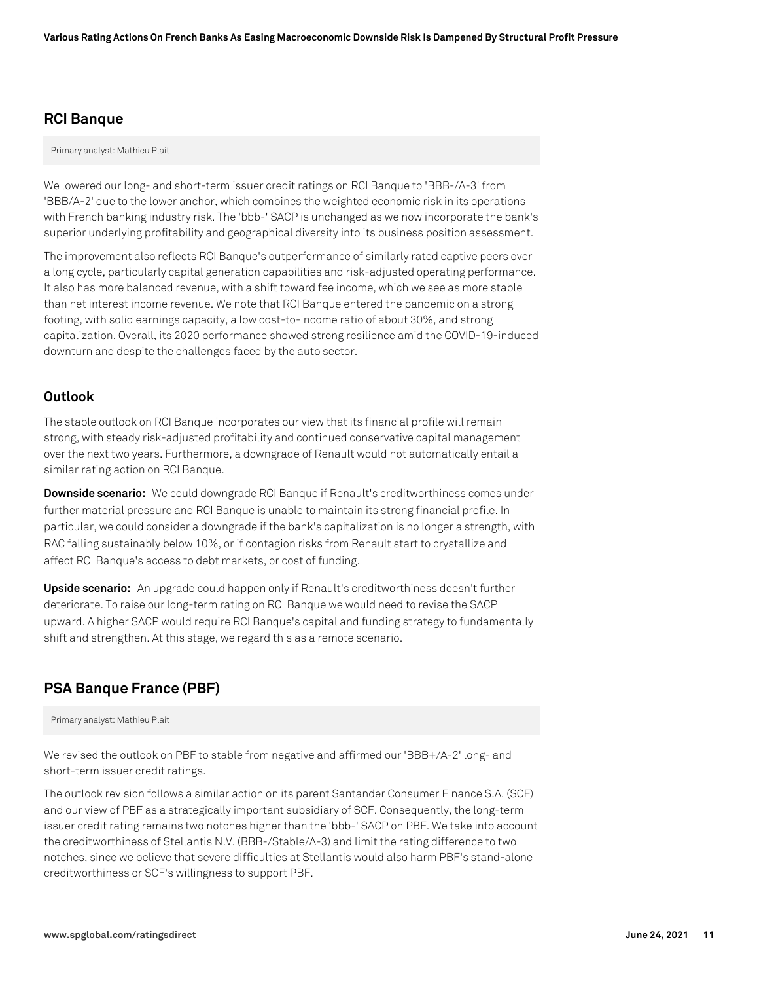## **RCI Banque**

Primary analyst: Mathieu Plait

We lowered our long- and short-term issuer credit ratings on RCI Banque to 'BBB-/A-3' from 'BBB/A-2' due to the lower anchor, which combines the weighted economic risk in its operations with French banking industry risk. The 'bbb-' SACP is unchanged as we now incorporate the bank's superior underlying profitability and geographical diversity into its business position assessment.

The improvement also reflects RCI Banque's outperformance of similarly rated captive peers over a long cycle, particularly capital generation capabilities and risk-adjusted operating performance. It also has more balanced revenue, with a shift toward fee income, which we see as more stable than net interest income revenue. We note that RCI Banque entered the pandemic on a strong footing, with solid earnings capacity, a low cost-to-income ratio of about 30%, and strong capitalization. Overall, its 2020 performance showed strong resilience amid the COVID-19-induced downturn and despite the challenges faced by the auto sector.

## **Outlook**

The stable outlook on RCI Banque incorporates our view that its financial profile will remain strong, with steady risk-adjusted profitability and continued conservative capital management over the next two years. Furthermore, a downgrade of Renault would not automatically entail a similar rating action on RCI Banque.

**Downside scenario:** We could downgrade RCI Banque if Renault's creditworthiness comes under further material pressure and RCI Banque is unable to maintain its strong financial profile. In particular, we could consider a downgrade if the bank's capitalization is no longer a strength, with RAC falling sustainably below 10%, or if contagion risks from Renault start to crystallize and affect RCI Banque's access to debt markets, or cost of funding.

**Upside scenario:** An upgrade could happen only if Renault's creditworthiness doesn't further deteriorate. To raise our long-term rating on RCI Banque we would need to revise the SACP upward. A higher SACP would require RCI Banque's capital and funding strategy to fundamentally shift and strengthen. At this stage, we regard this as a remote scenario.

# **PSA Banque France (PBF)**

Primary analyst: Mathieu Plait

We revised the outlook on PBF to stable from negative and affirmed our 'BBB+/A-2' long- and short-term issuer credit ratings.

The outlook revision follows a similar action on its parent Santander Consumer Finance S.A. (SCF) and our view of PBF as a strategically important subsidiary of SCF. Consequently, the long-term issuer credit rating remains two notches higher than the 'bbb-' SACP on PBF. We take into account the creditworthiness of Stellantis N.V. (BBB-/Stable/A-3) and limit the rating difference to two notches, since we believe that severe difficulties at Stellantis would also harm PBF's stand-alone creditworthiness or SCF's willingness to support PBF.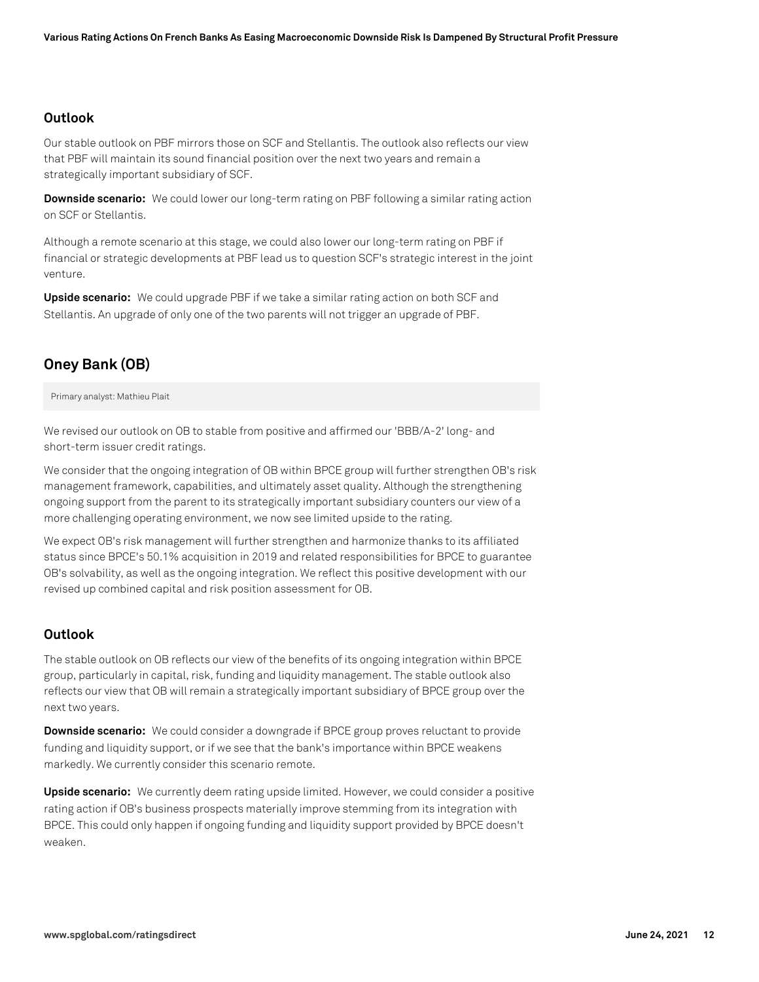#### **Outlook**

Our stable outlook on PBF mirrors those on SCF and Stellantis. The outlook also reflects our view that PBF will maintain its sound financial position over the next two years and remain a strategically important subsidiary of SCF.

**Downside scenario:** We could lower our long-term rating on PBF following a similar rating action on SCF or Stellantis.

Although a remote scenario at this stage, we could also lower our long-term rating on PBF if financial or strategic developments at PBF lead us to question SCF's strategic interest in the joint venture.

**Upside scenario:** We could upgrade PBF if we take a similar rating action on both SCF and Stellantis. An upgrade of only one of the two parents will not trigger an upgrade of PBF.

## **Oney Bank (OB)**

Primary analyst: Mathieu Plait

We revised our outlook on OB to stable from positive and affirmed our 'BBB/A-2' long- and short-term issuer credit ratings.

We consider that the ongoing integration of OB within BPCE group will further strengthen OB's risk management framework, capabilities, and ultimately asset quality. Although the strengthening ongoing support from the parent to its strategically important subsidiary counters our view of a more challenging operating environment, we now see limited upside to the rating.

We expect OB's risk management will further strengthen and harmonize thanks to its affiliated status since BPCE's 50.1% acquisition in 2019 and related responsibilities for BPCE to guarantee OB's solvability, as well as the ongoing integration. We reflect this positive development with our revised up combined capital and risk position assessment for OB.

## **Outlook**

The stable outlook on OB reflects our view of the benefits of its ongoing integration within BPCE group, particularly in capital, risk, funding and liquidity management. The stable outlook also reflects our view that OB will remain a strategically important subsidiary of BPCE group over the next two years.

**Downside scenario:** We could consider a downgrade if BPCE group proves reluctant to provide funding and liquidity support, or if we see that the bank's importance within BPCE weakens markedly. We currently consider this scenario remote.

**Upside scenario:** We currently deem rating upside limited. However, we could consider a positive rating action if OB's business prospects materially improve stemming from its integration with BPCE. This could only happen if ongoing funding and liquidity support provided by BPCE doesn't weaken.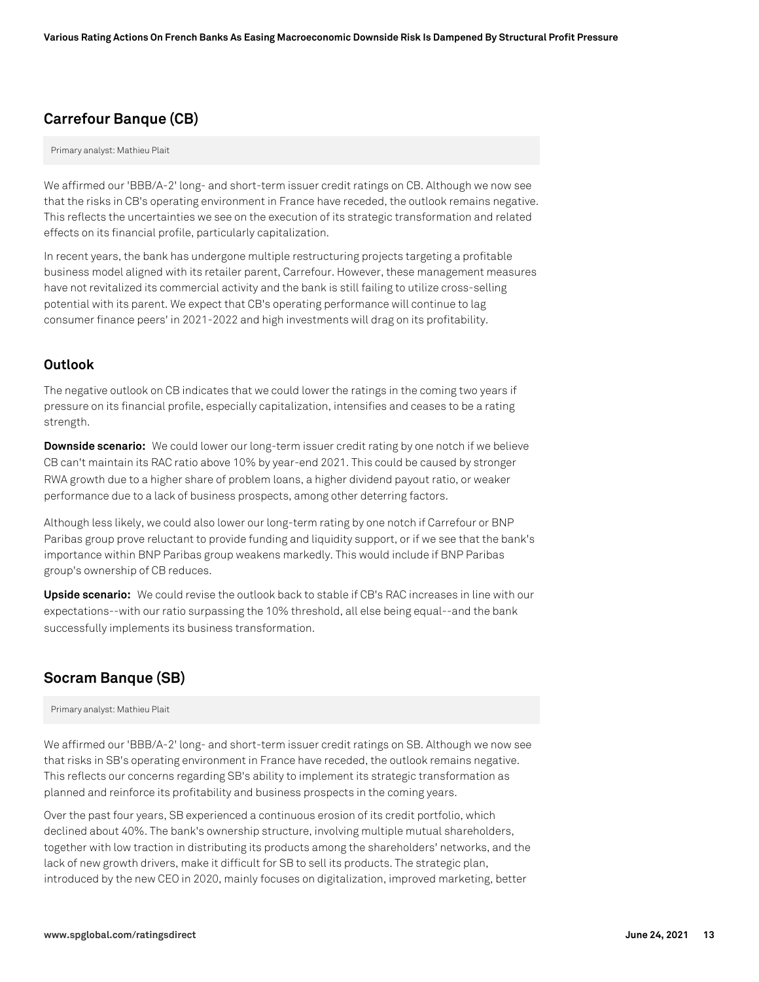# **Carrefour Banque (CB)**

Primary analyst: Mathieu Plait

We affirmed our 'BBB/A-2' long- and short-term issuer credit ratings on CB. Although we now see that the risks in CB's operating environment in France have receded, the outlook remains negative. This reflects the uncertainties we see on the execution of its strategic transformation and related effects on its financial profile, particularly capitalization.

In recent years, the bank has undergone multiple restructuring projects targeting a profitable business model aligned with its retailer parent, Carrefour. However, these management measures have not revitalized its commercial activity and the bank is still failing to utilize cross-selling potential with its parent. We expect that CB's operating performance will continue to lag consumer finance peers' in 2021-2022 and high investments will drag on its profitability.

## **Outlook**

The negative outlook on CB indicates that we could lower the ratings in the coming two years if pressure on its financial profile, especially capitalization, intensifies and ceases to be a rating strength.

**Downside scenario:** We could lower our long-term issuer credit rating by one notch if we believe CB can't maintain its RAC ratio above 10% by year-end 2021. This could be caused by stronger RWA growth due to a higher share of problem loans, a higher dividend payout ratio, or weaker performance due to a lack of business prospects, among other deterring factors.

Although less likely, we could also lower our long-term rating by one notch if Carrefour or BNP Paribas group prove reluctant to provide funding and liquidity support, or if we see that the bank's importance within BNP Paribas group weakens markedly. This would include if BNP Paribas group's ownership of CB reduces.

**Upside scenario:** We could revise the outlook back to stable if CB's RAC increases in line with our expectations--with our ratio surpassing the 10% threshold, all else being equal--and the bank successfully implements its business transformation.

## **Socram Banque (SB)**

Primary analyst: Mathieu Plait

We affirmed our 'BBB/A-2' long- and short-term issuer credit ratings on SB. Although we now see that risks in SB's operating environment in France have receded, the outlook remains negative. This reflects our concerns regarding SB's ability to implement its strategic transformation as planned and reinforce its profitability and business prospects in the coming years.

Over the past four years, SB experienced a continuous erosion of its credit portfolio, which declined about 40%. The bank's ownership structure, involving multiple mutual shareholders, together with low traction in distributing its products among the shareholders' networks, and the lack of new growth drivers, make it difficult for SB to sell its products. The strategic plan, introduced by the new CEO in 2020, mainly focuses on digitalization, improved marketing, better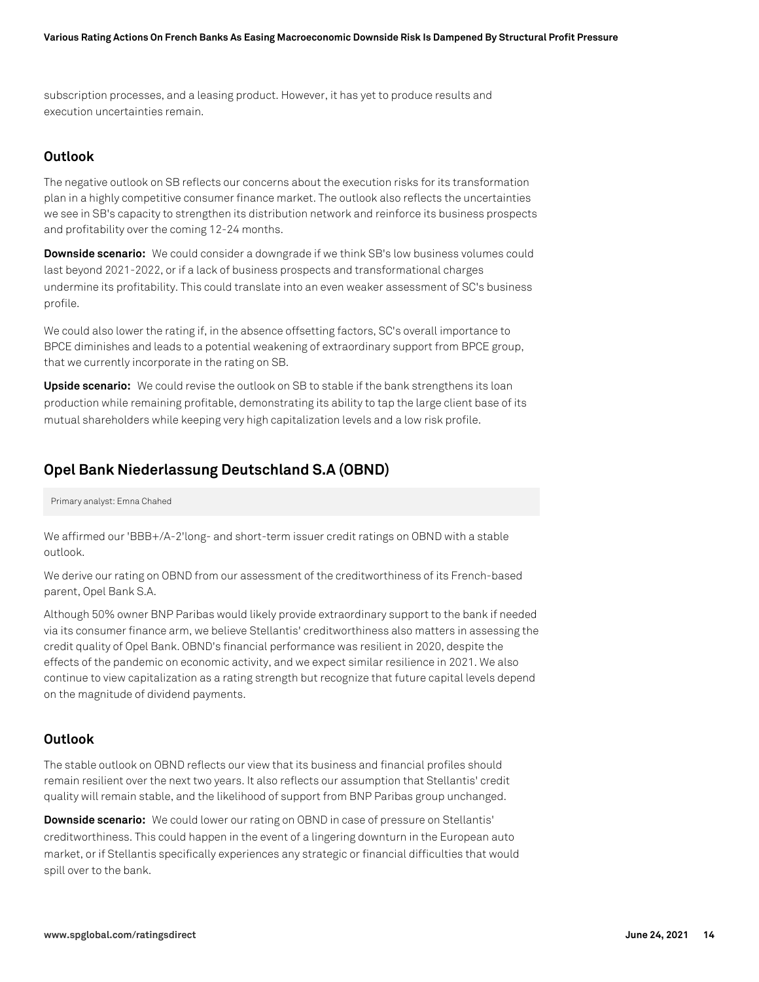subscription processes, and a leasing product. However, it has yet to produce results and execution uncertainties remain.

## **Outlook**

The negative outlook on SB reflects our concerns about the execution risks for its transformation plan in a highly competitive consumer finance market. The outlook also reflects the uncertainties we see in SB's capacity to strengthen its distribution network and reinforce its business prospects and profitability over the coming 12-24 months.

**Downside scenario:** We could consider a downgrade if we think SB's low business volumes could last beyond 2021-2022, or if a lack of business prospects and transformational charges undermine its profitability. This could translate into an even weaker assessment of SC's business profile.

We could also lower the rating if, in the absence offsetting factors, SC's overall importance to BPCE diminishes and leads to a potential weakening of extraordinary support from BPCE group, that we currently incorporate in the rating on SB.

**Upside scenario:** We could revise the outlook on SB to stable if the bank strengthens its loan production while remaining profitable, demonstrating its ability to tap the large client base of its mutual shareholders while keeping very high capitalization levels and a low risk profile.

# **Opel Bank Niederlassung Deutschland S.A (OBND)**

#### Primary analyst: Emna Chahed

We affirmed our 'BBB+/A-2'long- and short-term issuer credit ratings on OBND with a stable outlook.

We derive our rating on OBND from our assessment of the creditworthiness of its French-based parent, Opel Bank S.A.

Although 50% owner BNP Paribas would likely provide extraordinary support to the bank if needed via its consumer finance arm, we believe Stellantis' creditworthiness also matters in assessing the credit quality of Opel Bank. OBND's financial performance was resilient in 2020, despite the effects of the pandemic on economic activity, and we expect similar resilience in 2021. We also continue to view capitalization as a rating strength but recognize that future capital levels depend on the magnitude of dividend payments.

## **Outlook**

The stable outlook on OBND reflects our view that its business and financial profiles should remain resilient over the next two years. It also reflects our assumption that Stellantis' credit quality will remain stable, and the likelihood of support from BNP Paribas group unchanged.

**Downside scenario:** We could lower our rating on OBND in case of pressure on Stellantis' creditworthiness. This could happen in the event of a lingering downturn in the European auto market, or if Stellantis specifically experiences any strategic or financial difficulties that would spill over to the bank.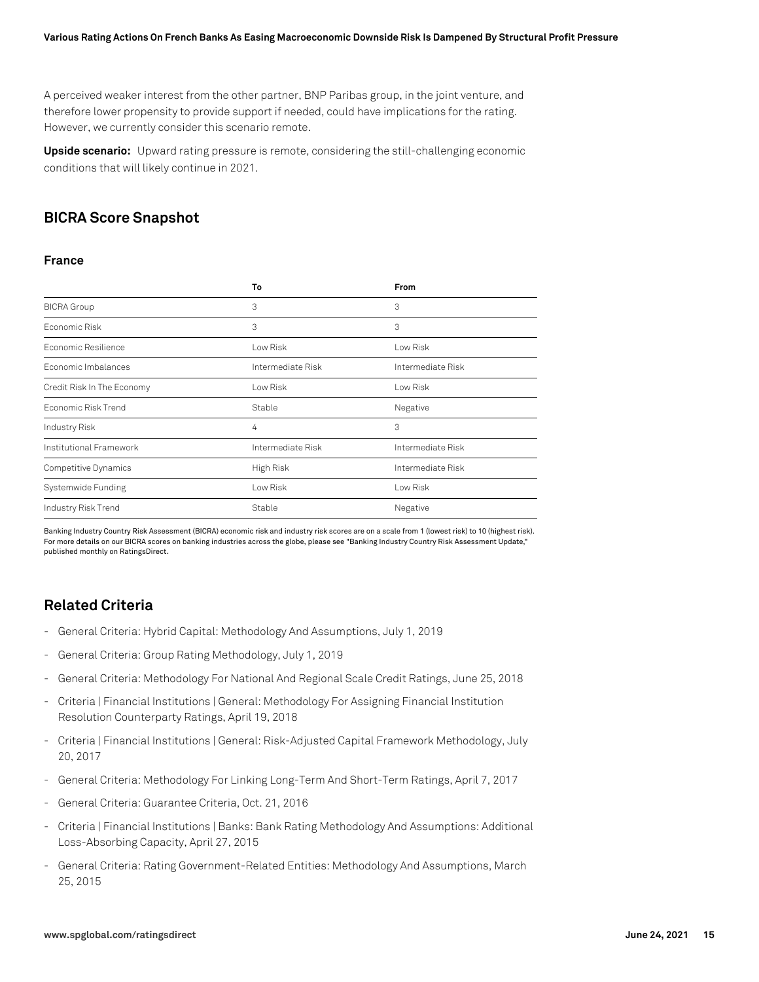A perceived weaker interest from the other partner, BNP Paribas group, in the joint venture, and therefore lower propensity to provide support if needed, could have implications for the rating. However, we currently consider this scenario remote.

**Upside scenario:** Upward rating pressure is remote, considering the still-challenging economic conditions that will likely continue in 2021.

# **BICRA Score Snapshot**

#### **France**

|                            | To                | <b>From</b>       |
|----------------------------|-------------------|-------------------|
| <b>BICRA</b> Group         | 3                 | 3                 |
| Fconomic Risk              | 3                 | 3                 |
| Economic Resilience        | Low Risk          | Low Risk          |
| Economic Imbalances        | Intermediate Risk | Intermediate Risk |
| Credit Risk In The Economy | Low Risk          | Low Risk          |
| Economic Risk Trend        | Stable            | Negative          |
| Industry Risk              | 4                 | 3                 |
| Institutional Framework    | Intermediate Risk | Intermediate Risk |
| Competitive Dynamics       | High Risk         | Intermediate Risk |
| Systemwide Funding         | Low Risk          | Low Risk          |
| Industry Risk Trend        | Stable            | Negative          |

Banking Industry Country Risk Assessment (BICRA) economic risk and industry risk scores are on a scale from 1 (lowest risk) to 10 (highest risk). For more details on our BICRA scores on banking industries across the globe, please see "Banking Industry Country Risk Assessment Update," published monthly on RatingsDirect.

## **Related Criteria**

- General Criteria: Hybrid Capital: Methodology And Assumptions, July 1, 2019
- General Criteria: Group Rating Methodology, July 1, 2019
- General Criteria: Methodology For National And Regional Scale Credit Ratings, June 25, 2018
- Criteria | Financial Institutions | General: Methodology For Assigning Financial Institution Resolution Counterparty Ratings, April 19, 2018
- Criteria | Financial Institutions | General: Risk-Adjusted Capital Framework Methodology, July 20, 2017
- General Criteria: Methodology For Linking Long-Term And Short-Term Ratings, April 7, 2017
- General Criteria: Guarantee Criteria, Oct. 21, 2016
- Criteria | Financial Institutions | Banks: Bank Rating Methodology And Assumptions: Additional Loss-Absorbing Capacity, April 27, 2015
- General Criteria: Rating Government-Related Entities: Methodology And Assumptions, March 25, 2015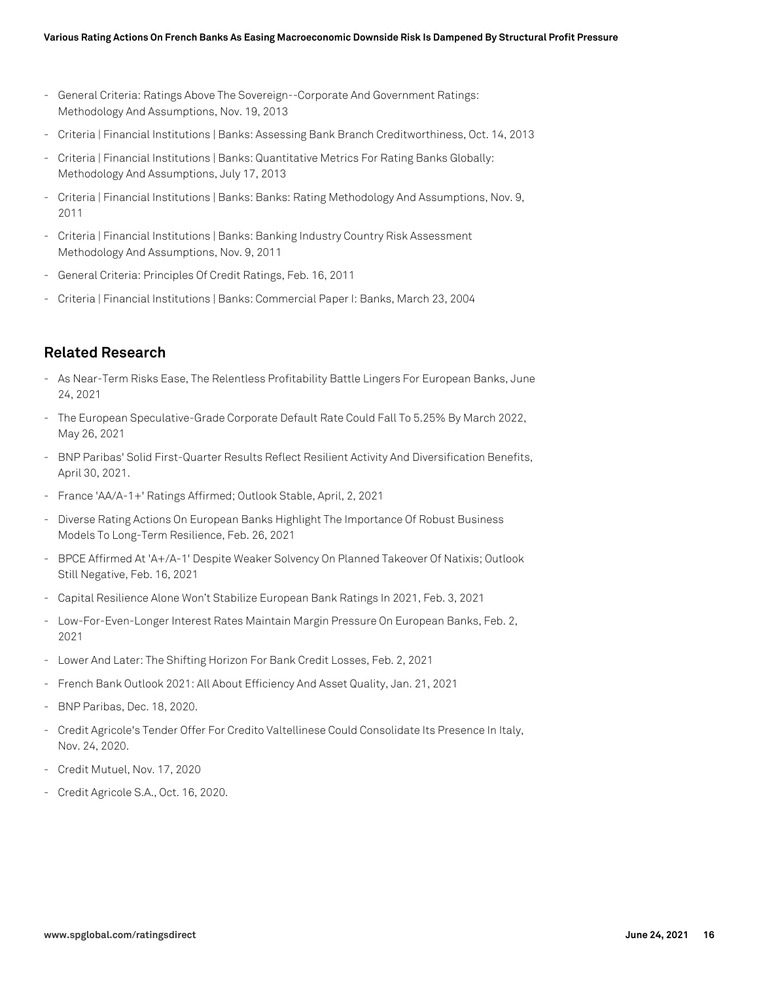- General Criteria: Ratings Above The Sovereign--Corporate And Government Ratings: Methodology And Assumptions, Nov. 19, 2013
- Criteria | Financial Institutions | Banks: Assessing Bank Branch Creditworthiness, Oct. 14, 2013
- Criteria | Financial Institutions | Banks: Quantitative Metrics For Rating Banks Globally: Methodology And Assumptions, July 17, 2013
- Criteria | Financial Institutions | Banks: Banks: Rating Methodology And Assumptions, Nov. 9, 2011
- Criteria | Financial Institutions | Banks: Banking Industry Country Risk Assessment Methodology And Assumptions, Nov. 9, 2011
- General Criteria: Principles Of Credit Ratings, Feb. 16, 2011
- Criteria | Financial Institutions | Banks: Commercial Paper I: Banks, March 23, 2004

## **Related Research**

- As Near-Term Risks Ease, The Relentless Profitability Battle Lingers For European Banks, June 24, 2021
- The European Speculative-Grade Corporate Default Rate Could Fall To 5.25% By March 2022, May 26, 2021
- BNP Paribas' Solid First-Quarter Results Reflect Resilient Activity And Diversification Benefits, April 30, 2021.
- France 'AA/A-1+' Ratings Affirmed; Outlook Stable, April, 2, 2021
- Diverse Rating Actions On European Banks Highlight The Importance Of Robust Business Models To Long-Term Resilience, Feb. 26, 2021
- BPCE Affirmed At 'A+/A-1' Despite Weaker Solvency On Planned Takeover Of Natixis; Outlook Still Negative, Feb. 16, 2021
- Capital Resilience Alone Won't Stabilize European Bank Ratings In 2021, Feb. 3, 2021
- Low-For-Even-Longer Interest Rates Maintain Margin Pressure On European Banks, Feb. 2, 2021
- Lower And Later: The Shifting Horizon For Bank Credit Losses, Feb. 2, 2021
- French Bank Outlook 2021: All About Efficiency And Asset Quality, Jan. 21, 2021
- BNP Paribas, Dec. 18, 2020.
- Credit Agricole's Tender Offer For Credito Valtellinese Could Consolidate Its Presence In Italy, Nov. 24, 2020.
- Credit Mutuel, Nov. 17, 2020
- Credit Agricole S.A., Oct. 16, 2020.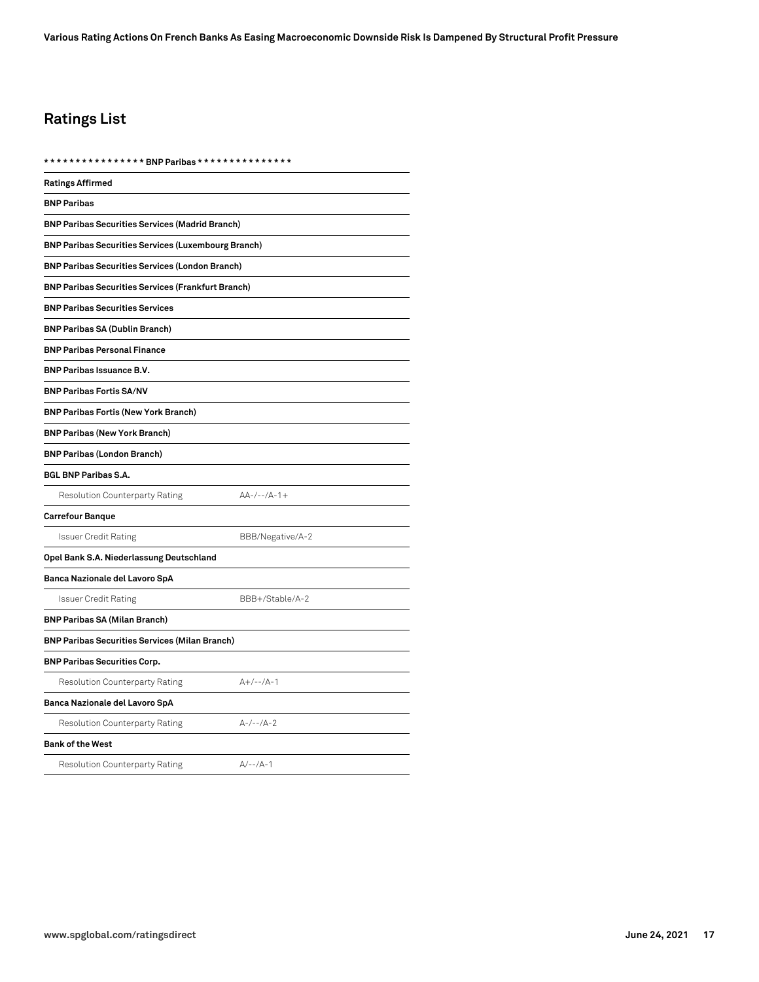# **Ratings List**

| <b>Ratings Affirmed</b>                                    |                  |  |
|------------------------------------------------------------|------------------|--|
| <b>BNP Paribas</b>                                         |                  |  |
| <b>BNP Paribas Securities Services (Madrid Branch)</b>     |                  |  |
| <b>BNP Paribas Securities Services (Luxembourg Branch)</b> |                  |  |
| <b>BNP Paribas Securities Services (London Branch)</b>     |                  |  |
| <b>BNP Paribas Securities Services (Frankfurt Branch)</b>  |                  |  |
| <b>BNP Paribas Securities Services</b>                     |                  |  |
| <b>BNP Paribas SA (Dublin Branch)</b>                      |                  |  |
| <b>BNP Paribas Personal Finance</b>                        |                  |  |
| <b>BNP Paribas Issuance B.V.</b>                           |                  |  |
| <b>BNP Paribas Fortis SA/NV</b>                            |                  |  |
| <b>BNP Paribas Fortis (New York Branch)</b>                |                  |  |
| <b>BNP Paribas (New York Branch)</b>                       |                  |  |
| <b>BNP Paribas (London Branch)</b>                         |                  |  |
| <b>BGL BNP Paribas S.A.</b>                                |                  |  |
| Resolution Counterparty Rating                             | $AA-/--/A-1+$    |  |
| <b>Carrefour Banque</b>                                    |                  |  |
| <b>Issuer Credit Rating</b>                                | BBB/Negative/A-2 |  |
| Opel Bank S.A. Niederlassung Deutschland                   |                  |  |
| Banca Nazionale del Lavoro SpA                             |                  |  |
| <b>Issuer Credit Rating</b>                                | BBB+/Stable/A-2  |  |
| <b>BNP Paribas SA (Milan Branch)</b>                       |                  |  |
| <b>BNP Paribas Securities Services (Milan Branch)</b>      |                  |  |
| <b>BNP Paribas Securities Corp.</b>                        |                  |  |
| Resolution Counterparty Rating                             | $A+/--/A-1$      |  |
| Banca Nazionale del Lavoro SpA                             |                  |  |
| Resolution Counterparty Rating                             | $A-/--/A-2$      |  |
| <b>Bank of the West</b>                                    |                  |  |
| <b>Resolution Counterparty Rating</b>                      | $A/-- /A-1$      |  |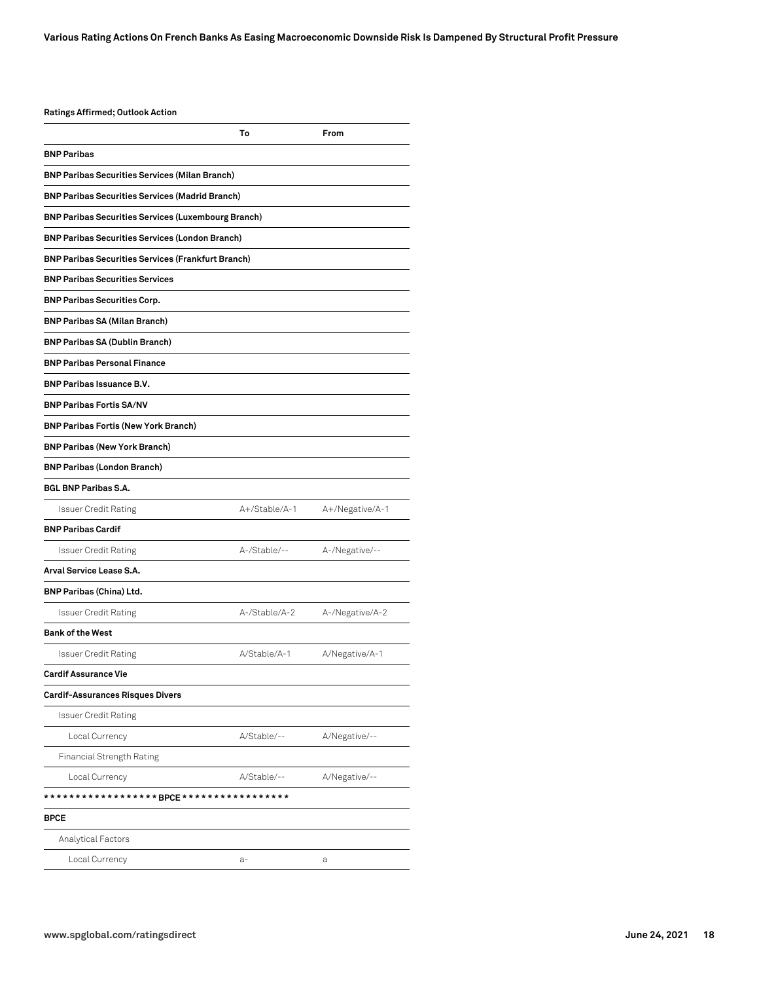#### **Ratings Affirmed; Outlook Action**

|                                                            | То            | From            |
|------------------------------------------------------------|---------------|-----------------|
| <b>BNP Paribas</b>                                         |               |                 |
| <b>BNP Paribas Securities Services (Milan Branch)</b>      |               |                 |
| <b>BNP Paribas Securities Services (Madrid Branch)</b>     |               |                 |
| <b>BNP Paribas Securities Services (Luxembourg Branch)</b> |               |                 |
| <b>BNP Paribas Securities Services (London Branch)</b>     |               |                 |
| <b>BNP Paribas Securities Services (Frankfurt Branch)</b>  |               |                 |
| <b>BNP Paribas Securities Services</b>                     |               |                 |
| <b>BNP Paribas Securities Corp.</b>                        |               |                 |
| <b>BNP Paribas SA (Milan Branch)</b>                       |               |                 |
| <b>BNP Paribas SA (Dublin Branch)</b>                      |               |                 |
| <b>BNP Paribas Personal Finance</b>                        |               |                 |
| <b>BNP Paribas Issuance B.V.</b>                           |               |                 |
| <b>BNP Paribas Fortis SA/NV</b>                            |               |                 |
| <b>BNP Paribas Fortis (New York Branch)</b>                |               |                 |
| <b>BNP Paribas (New York Branch)</b>                       |               |                 |
| <b>BNP Paribas (London Branch)</b>                         |               |                 |
| <b>BGL BNP Paribas S.A.</b>                                |               |                 |
| <b>Issuer Credit Rating</b>                                | A+/Stable/A-1 | A+/Negative/A-1 |
| <b>BNP Paribas Cardif</b>                                  |               |                 |
| <b>Issuer Credit Rating</b>                                | A-/Stable/--  | A-/Negative/--  |
| Arval Service Lease S.A.                                   |               |                 |
| <b>BNP Paribas (China) Ltd.</b>                            |               |                 |
| <b>Issuer Credit Rating</b>                                | A-/Stable/A-2 | A-/Negative/A-2 |
| <b>Bank of the West</b>                                    |               |                 |
| <b>Issuer Credit Rating</b>                                | A/Stable/A-1  | A/Negative/A-1  |
| <b>Cardif Assurance Vie</b>                                |               |                 |
| <b>Cardif-Assurances Risques Divers</b>                    |               |                 |
| <b>Issuer Credit Rating</b>                                |               |                 |
| Local Currency                                             | A/Stable/--   | A/Negative/--   |
| Financial Strength Rating                                  |               |                 |
| Local Currency                                             | A/Stable/--   | A/Negative/--   |
| *****************BPCE*****************                     |               |                 |
| <b>BPCE</b>                                                |               |                 |
| Analytical Factors                                         |               |                 |
| Local Currency                                             | $a-$          | а               |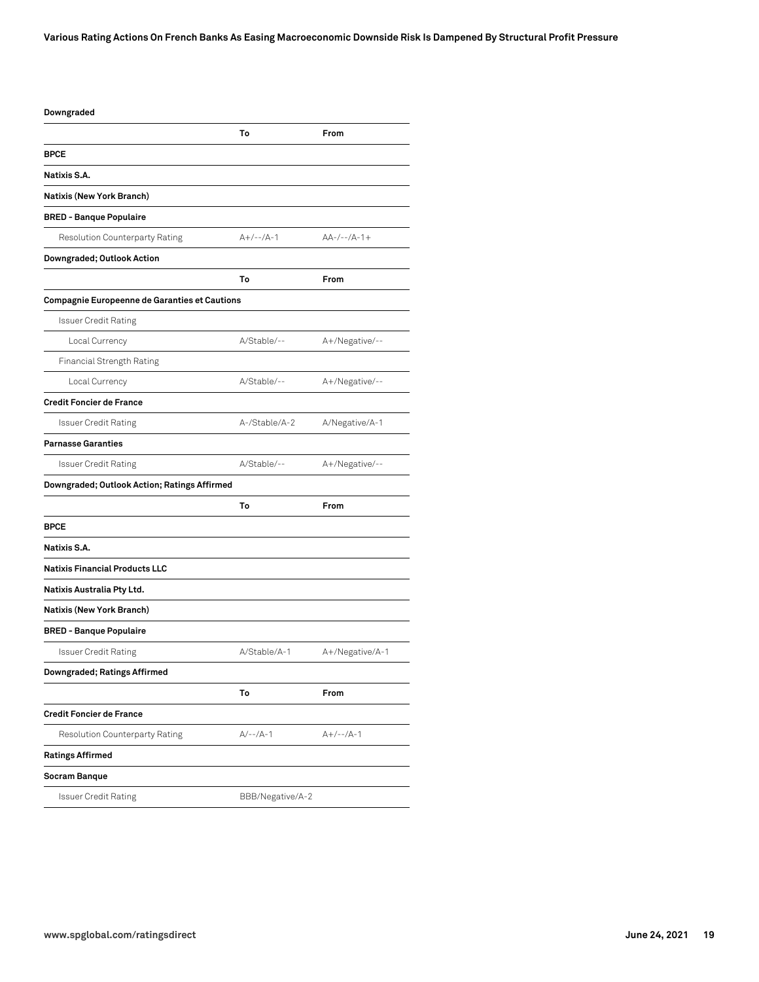| Downgraded                                    |                  |                 |
|-----------------------------------------------|------------------|-----------------|
|                                               | To               | From            |
| <b>BPCE</b>                                   |                  |                 |
| Natixis S.A.                                  |                  |                 |
| Natixis (New York Branch)                     |                  |                 |
| <b>BRED - Banque Populaire</b>                |                  |                 |
| Resolution Counterparty Rating                | $A+/--/A-1$      | $AA-/--/A-1+$   |
| Downgraded; Outlook Action                    |                  |                 |
|                                               | To               | From            |
| Compagnie Europeenne de Garanties et Cautions |                  |                 |
| <b>Issuer Credit Rating</b>                   |                  |                 |
| Local Currency                                | A/Stable/--      | A+/Negative/--  |
| Financial Strength Rating                     |                  |                 |
| Local Currency                                | A/Stable/--      | A+/Negative/--  |
| <b>Credit Foncier de France</b>               |                  |                 |
| Issuer Credit Rating                          | A-/Stable/A-2    | A/Negative/A-1  |
| <b>Parnasse Garanties</b>                     |                  |                 |
| Issuer Credit Rating                          | A/Stable/--      | A+/Negative/--  |
| Downgraded; Outlook Action; Ratings Affirmed  |                  |                 |
|                                               | To               | From            |
| <b>BPCE</b>                                   |                  |                 |
| Natixis S.A.                                  |                  |                 |
| <b>Natixis Financial Products LLC</b>         |                  |                 |
| Natixis Australia Pty Ltd.                    |                  |                 |
| Natixis (New York Branch)                     |                  |                 |
| <b>BRED - Banque Populaire</b>                |                  |                 |
| <b>Issuer Credit Rating</b>                   | A/Stable/A-1     | A+/Negative/A-1 |
| <b>Downgraded; Ratings Affirmed</b>           |                  |                 |
|                                               | To               | From            |
| <b>Credit Foncier de France</b>               |                  |                 |
| Resolution Counterparty Rating                | $A/-- /A-1$      | $A+/--/A-1$     |
| <b>Ratings Affirmed</b>                       |                  |                 |
| Socram Banque                                 |                  |                 |
| <b>Issuer Credit Rating</b>                   | BBB/Negative/A-2 |                 |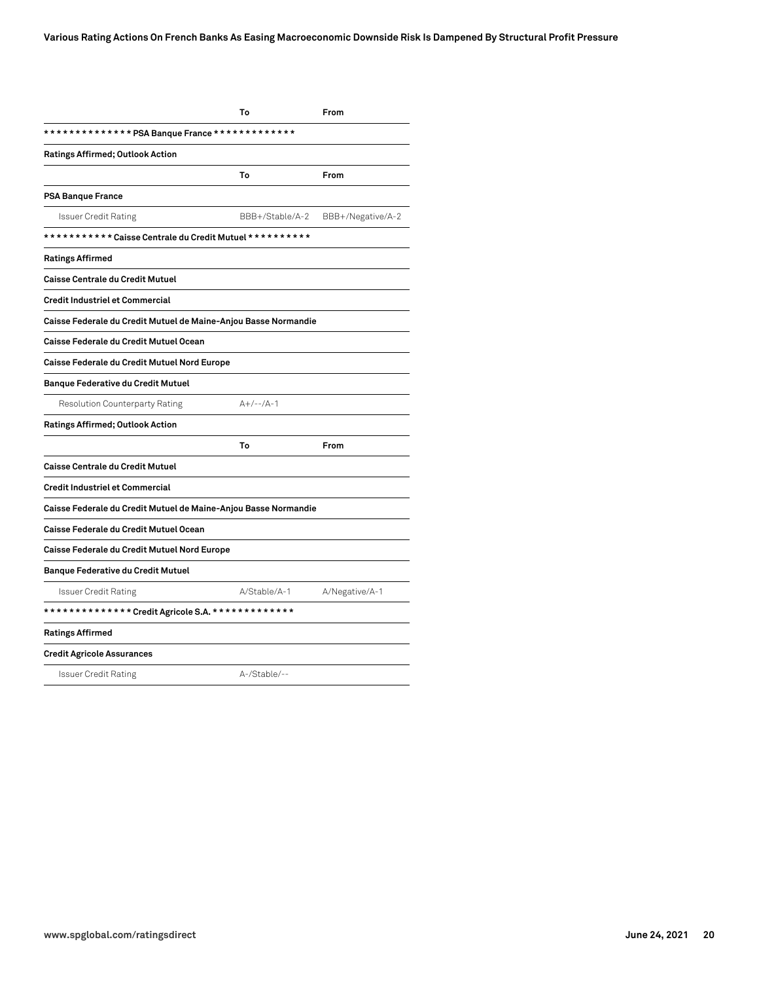|                                                                 | To              | From              |
|-----------------------------------------------------------------|-----------------|-------------------|
| ************** PSA Banque France *************                  |                 |                   |
| <b>Ratings Affirmed; Outlook Action</b>                         |                 |                   |
|                                                                 | To              | From              |
| <b>PSA Banque France</b>                                        |                 |                   |
| <b>Issuer Credit Rating</b>                                     | BBB+/Stable/A-2 | BBB+/Negative/A-2 |
| *********** Caisse Centrale du Credit Mutuel **********         |                 |                   |
| <b>Ratings Affirmed</b>                                         |                 |                   |
| <b>Caisse Centrale du Credit Mutuel</b>                         |                 |                   |
| <b>Credit Industriel et Commercial</b>                          |                 |                   |
| Caisse Federale du Credit Mutuel de Maine-Anjou Basse Normandie |                 |                   |
| Caisse Federale du Credit Mutuel Ocean                          |                 |                   |
| Caisse Federale du Credit Mutuel Nord Europe                    |                 |                   |
| <b>Banque Federative du Credit Mutuel</b>                       |                 |                   |
| <b>Resolution Counterparty Rating</b>                           | $A+/--/A-1$     |                   |
| <b>Ratings Affirmed; Outlook Action</b>                         |                 |                   |
|                                                                 | To              | From              |
| <b>Caisse Centrale du Credit Mutuel</b>                         |                 |                   |
| <b>Credit Industriel et Commercial</b>                          |                 |                   |
| Caisse Federale du Credit Mutuel de Maine-Anjou Basse Normandie |                 |                   |
| Caisse Federale du Credit Mutuel Ocean                          |                 |                   |
| Caisse Federale du Credit Mutuel Nord Europe                    |                 |                   |
| <b>Banque Federative du Credit Mutuel</b>                       |                 |                   |
| <b>Issuer Credit Rating</b>                                     | A/Stable/A-1    | A/Negative/A-1    |
| **************Credit Agricole S.A. **************               |                 |                   |
| <b>Ratings Affirmed</b>                                         |                 |                   |
| <b>Credit Agricole Assurances</b>                               |                 |                   |
| <b>Issuer Credit Rating</b>                                     | A-/Stable/--    |                   |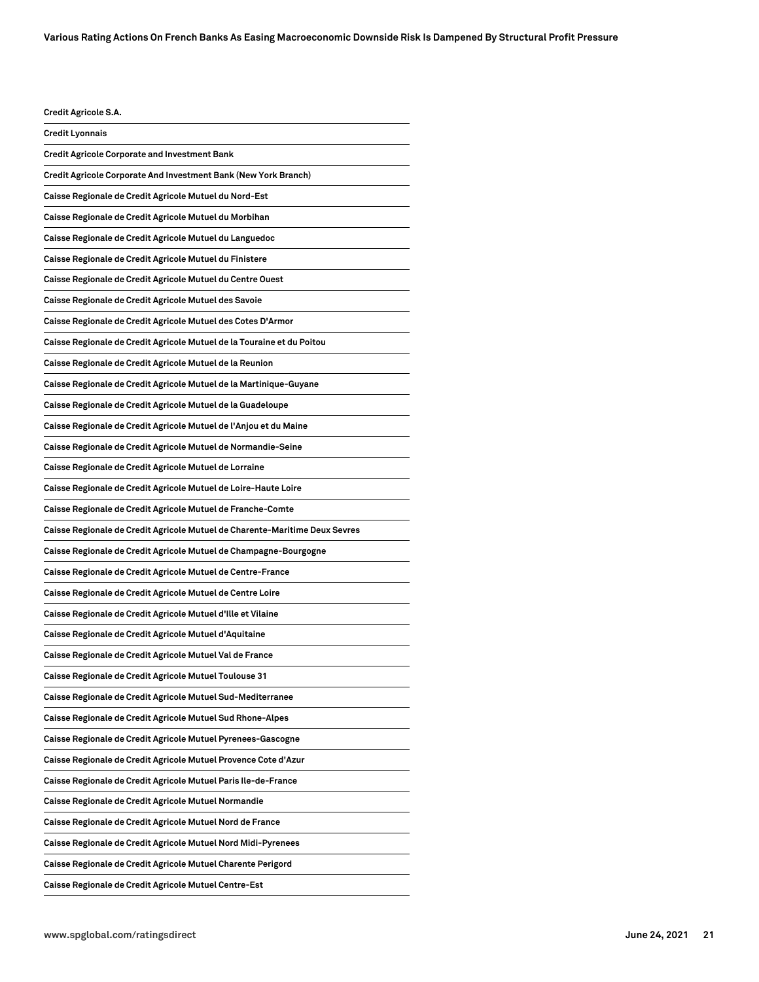**Credit Agricole S.A. Credit Lyonnais Credit Agricole Corporate and Investment Bank Credit Agricole Corporate And Investment Bank (New York Branch) Caisse Regionale de Credit Agricole Mutuel du Nord-Est Caisse Regionale de Credit Agricole Mutuel du Morbihan Caisse Regionale de Credit Agricole Mutuel du Languedoc Caisse Regionale de Credit Agricole Mutuel du Finistere Caisse Regionale de Credit Agricole Mutuel du Centre Ouest Caisse Regionale de Credit Agricole Mutuel des Savoie Caisse Regionale de Credit Agricole Mutuel des Cotes D'Armor Caisse Regionale de Credit Agricole Mutuel de la Touraine et du Poitou Caisse Regionale de Credit Agricole Mutuel de la Reunion Caisse Regionale de Credit Agricole Mutuel de la Martinique-Guyane Caisse Regionale de Credit Agricole Mutuel de la Guadeloupe Caisse Regionale de Credit Agricole Mutuel de l'Anjou et du Maine Caisse Regionale de Credit Agricole Mutuel de Normandie-Seine Caisse Regionale de Credit Agricole Mutuel de Lorraine Caisse Regionale de Credit Agricole Mutuel de Loire-Haute Loire Caisse Regionale de Credit Agricole Mutuel de Franche-Comte Caisse Regionale de Credit Agricole Mutuel de Charente-Maritime Deux Sevres Caisse Regionale de Credit Agricole Mutuel de Champagne-Bourgogne Caisse Regionale de Credit Agricole Mutuel de Centre-France Caisse Regionale de Credit Agricole Mutuel de Centre Loire Caisse Regionale de Credit Agricole Mutuel d'Ille et Vilaine Caisse Regionale de Credit Agricole Mutuel d'Aquitaine Caisse Regionale de Credit Agricole Mutuel Val de France Caisse Regionale de Credit Agricole Mutuel Toulouse 31 Caisse Regionale de Credit Agricole Mutuel Sud-Mediterranee Caisse Regionale de Credit Agricole Mutuel Sud Rhone-Alpes Caisse Regionale de Credit Agricole Mutuel Pyrenees-Gascogne Caisse Regionale de Credit Agricole Mutuel Provence Cote d'Azur Caisse Regionale de Credit Agricole Mutuel Paris Ile-de-France Caisse Regionale de Credit Agricole Mutuel Normandie Caisse Regionale de Credit Agricole Mutuel Nord de France Caisse Regionale de Credit Agricole Mutuel Nord Midi-Pyrenees Caisse Regionale de Credit Agricole Mutuel Charente Perigord**

**Caisse Regionale de Credit Agricole Mutuel Centre-Est**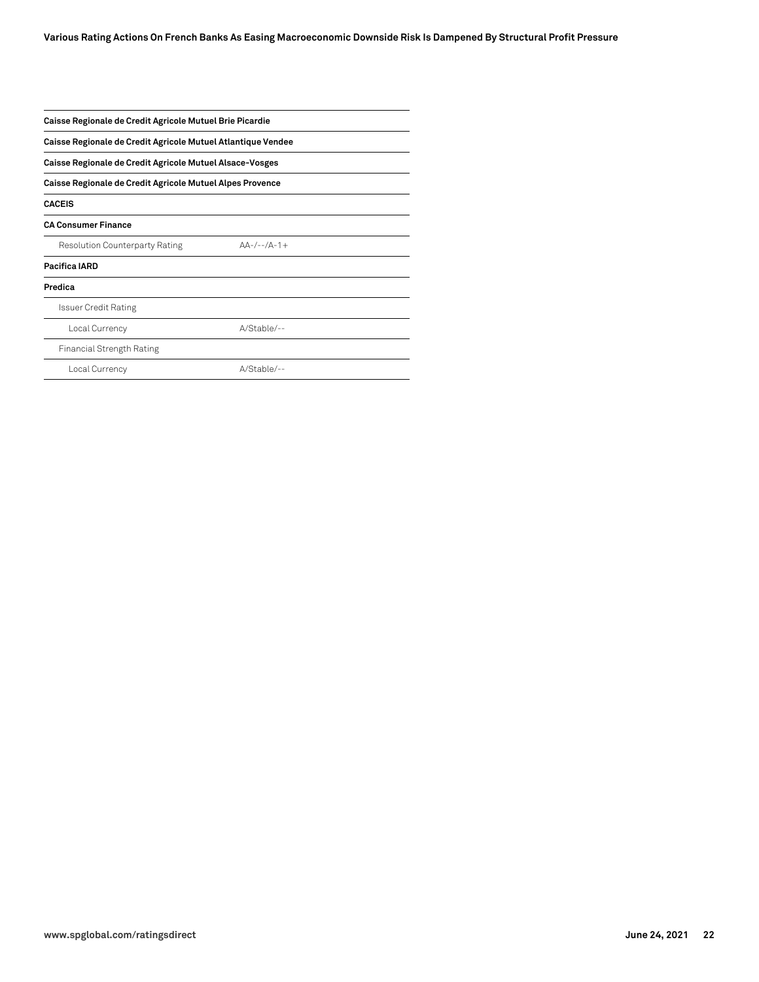| Caisse Regionale de Credit Agricole Mutuel Brie Picardie<br>Caisse Regionale de Credit Agricole Mutuel Atlantique Vendee<br>Caisse Regionale de Credit Agricole Mutuel Alsace-Vosges<br>Caisse Regionale de Credit Agricole Mutuel Alpes Provence |               |  |                                       |               |  |
|---------------------------------------------------------------------------------------------------------------------------------------------------------------------------------------------------------------------------------------------------|---------------|--|---------------------------------------|---------------|--|
|                                                                                                                                                                                                                                                   |               |  | <b>CACEIS</b>                         |               |  |
|                                                                                                                                                                                                                                                   |               |  | <b>CA Consumer Finance</b>            |               |  |
|                                                                                                                                                                                                                                                   |               |  | <b>Resolution Counterparty Rating</b> | $AA-/--/A-1+$ |  |
| Pacifica IARD                                                                                                                                                                                                                                     |               |  |                                       |               |  |
| Predica                                                                                                                                                                                                                                           |               |  |                                       |               |  |
| <b>Issuer Credit Rating</b>                                                                                                                                                                                                                       |               |  |                                       |               |  |
| Local Currency                                                                                                                                                                                                                                    | A/Stable/--   |  |                                       |               |  |
| <b>Financial Strength Rating</b>                                                                                                                                                                                                                  |               |  |                                       |               |  |
| Local Currency                                                                                                                                                                                                                                    | $A/Stable$ -- |  |                                       |               |  |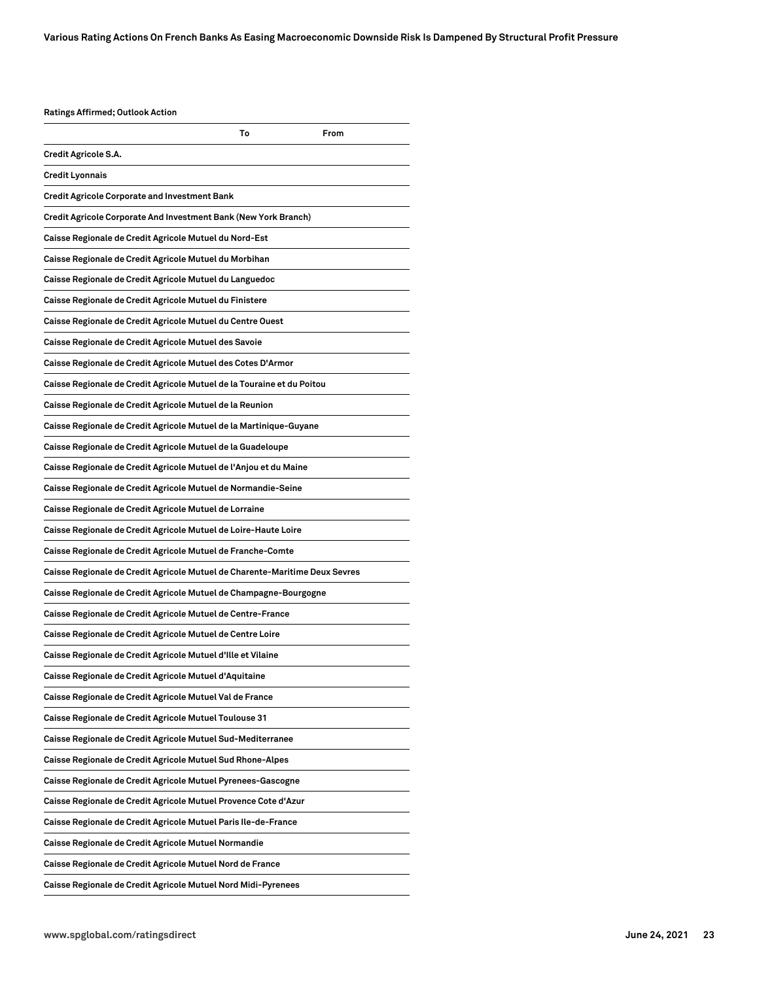| <b>Ratings Affirmed; Outlook Action</b>                                     |    |      |
|-----------------------------------------------------------------------------|----|------|
|                                                                             | То | From |
| Credit Agricole S.A.                                                        |    |      |
| Credit Lyonnais                                                             |    |      |
| Credit Agricole Corporate and Investment Bank                               |    |      |
| Credit Agricole Corporate And Investment Bank (New York Branch)             |    |      |
| Caisse Regionale de Credit Agricole Mutuel du Nord-Est                      |    |      |
| Caisse Regionale de Credit Agricole Mutuel du Morbihan                      |    |      |
| Caisse Regionale de Credit Agricole Mutuel du Languedoc                     |    |      |
| Caisse Regionale de Credit Agricole Mutuel du Finistere                     |    |      |
| Caisse Regionale de Credit Agricole Mutuel du Centre Ouest                  |    |      |
| Caisse Regionale de Credit Agricole Mutuel des Savoie                       |    |      |
| Caisse Regionale de Credit Agricole Mutuel des Cotes D'Armor                |    |      |
| Caisse Regionale de Credit Agricole Mutuel de la Touraine et du Poitou      |    |      |
| Caisse Regionale de Credit Agricole Mutuel de la Reunion                    |    |      |
| Caisse Regionale de Credit Agricole Mutuel de la Martinique-Guyane          |    |      |
| Caisse Regionale de Credit Agricole Mutuel de la Guadeloupe                 |    |      |
| Caisse Regionale de Credit Agricole Mutuel de l'Anjou et du Maine           |    |      |
| Caisse Regionale de Credit Agricole Mutuel de Normandie-Seine               |    |      |
| Caisse Regionale de Credit Agricole Mutuel de Lorraine                      |    |      |
| Caisse Regionale de Credit Agricole Mutuel de Loire-Haute Loire             |    |      |
| Caisse Regionale de Credit Agricole Mutuel de Franche-Comte                 |    |      |
| Caisse Regionale de Credit Agricole Mutuel de Charente-Maritime Deux Sevres |    |      |
| Caisse Regionale de Credit Agricole Mutuel de Champagne-Bourgogne           |    |      |
| Caisse Regionale de Credit Agricole Mutuel de Centre-France                 |    |      |
| Caisse Regionale de Credit Agricole Mutuel de Centre Loire                  |    |      |
| Caisse Regionale de Credit Agricole Mutuel d'Ille et Vilaine                |    |      |
| Caisse Regionale de Credit Agricole Mutuel d'Aquitaine                      |    |      |
| Caisse Regionale de Credit Agricole Mutuel Val de France                    |    |      |
| Caisse Regionale de Credit Agricole Mutuel Toulouse 31                      |    |      |
| Caisse Regionale de Credit Agricole Mutuel Sud-Mediterranee                 |    |      |
| Caisse Regionale de Credit Agricole Mutuel Sud Rhone-Alpes                  |    |      |
| Caisse Regionale de Credit Agricole Mutuel Pyrenees-Gascogne                |    |      |
| Caisse Regionale de Credit Agricole Mutuel Provence Cote d'Azur             |    |      |
| Caisse Regionale de Credit Agricole Mutuel Paris Ile-de-France              |    |      |
| Caisse Regionale de Credit Agricole Mutuel Normandie                        |    |      |
| Caisse Regionale de Credit Agricole Mutuel Nord de France                   |    |      |
| Caisse Regionale de Credit Agricole Mutuel Nord Midi-Pyrenees               |    |      |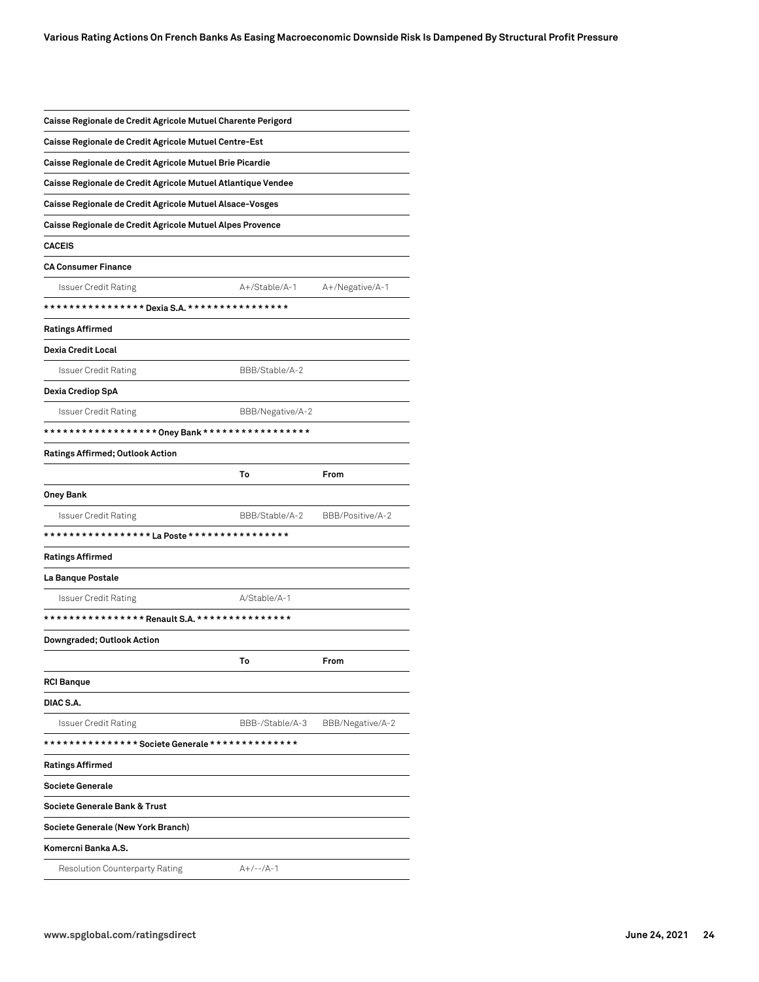| Caisse Regionale de Credit Agricole Mutuel Charente Perigord |                  |                  |
|--------------------------------------------------------------|------------------|------------------|
| Caisse Regionale de Credit Agricole Mutuel Centre-Est        |                  |                  |
| Caisse Regionale de Credit Agricole Mutuel Brie Picardie     |                  |                  |
| Caisse Regionale de Credit Agricole Mutuel Atlantique Vendee |                  |                  |
| Caisse Regionale de Credit Agricole Mutuel Alsace-Vosges     |                  |                  |
| Caisse Regionale de Credit Agricole Mutuel Alpes Provence    |                  |                  |
| <b>CACEIS</b>                                                |                  |                  |
| <b>CA Consumer Finance</b>                                   |                  |                  |
| Issuer Credit Rating                                         | A+/Stable/A-1    | A+/Negative/A-1  |
|                                                              |                  |                  |
| <b>Ratings Affirmed</b>                                      |                  |                  |
| Dexia Credit Local                                           |                  |                  |
| Issuer Credit Rating                                         | BBB/Stable/A-2   |                  |
| Dexia Crediop SpA                                            |                  |                  |
| <b>Issuer Credit Rating</b>                                  | BBB/Negative/A-2 |                  |
|                                                              |                  |                  |
| <b>Ratings Affirmed; Outlook Action</b>                      |                  |                  |
|                                                              | To               | From             |
| Oney Bank                                                    |                  |                  |
| Issuer Credit Rating                                         | BBB/Stable/A-2   | BBB/Positive/A-2 |
| *****************La Poste *****************                  |                  |                  |
| <b>Ratings Affirmed</b>                                      |                  |                  |
| La Banque Postale                                            |                  |                  |
| <b>Issuer Credit Rating</b>                                  | A/Stable/A-1     |                  |
| ****************    Renault S.A. ***************             |                  |                  |
| Downgraded; Outlook Action                                   |                  |                  |
|                                                              | To               | From             |
| <b>RCI Banque</b>                                            |                  |                  |
| DIAC S.A.                                                    |                  |                  |
| <b>Issuer Credit Rating</b>                                  | BBB-/Stable/A-3  | BBB/Negative/A-2 |
|                                                              |                  |                  |
| <b>Ratings Affirmed</b>                                      |                  |                  |
| Societe Generale                                             |                  |                  |
| Societe Generale Bank & Trust                                |                  |                  |
| Societe Generale (New York Branch)                           |                  |                  |
| Komercni Banka A.S.                                          |                  |                  |
| Resolution Counterparty Rating                               | $A+/--/A-1$      |                  |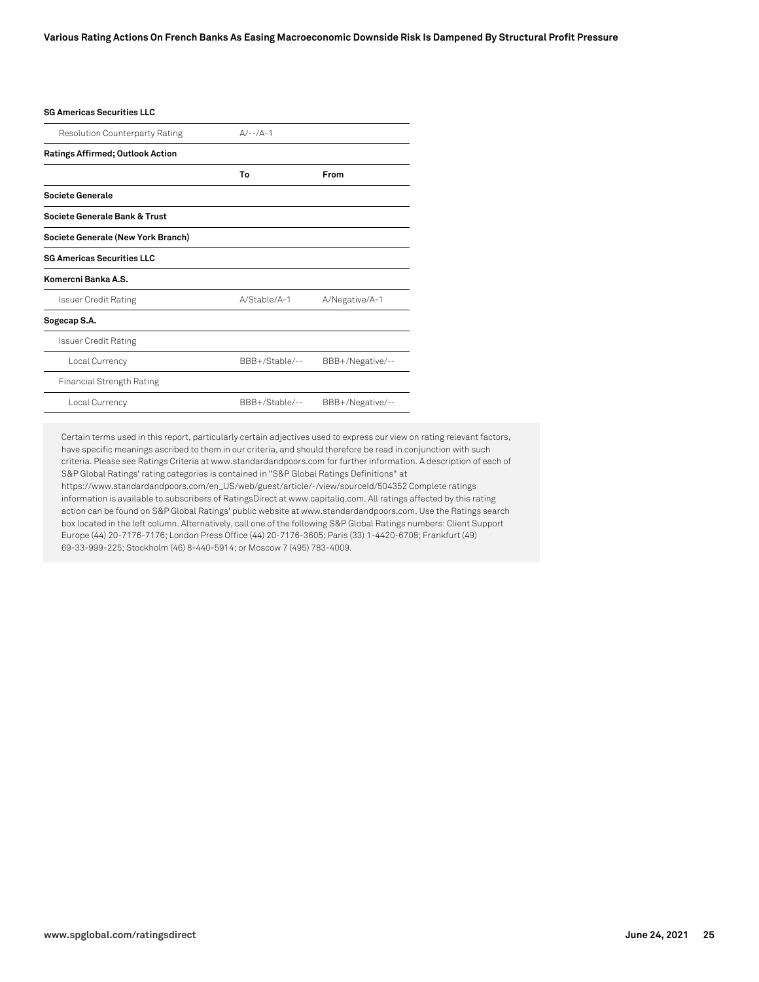#### **SG Americas Securities LLC**

| <b>Resolution Counterparty Rating</b>   | $A/-1/A-1$     |                  |
|-----------------------------------------|----------------|------------------|
| <b>Ratings Affirmed; Outlook Action</b> |                |                  |
|                                         | To             | From             |
| Societe Generale                        |                |                  |
| Societe Generale Bank & Trust           |                |                  |
| Societe Generale (New York Branch)      |                |                  |
| <b>SG Americas Securities LLC</b>       |                |                  |
| Komercni Banka A.S.                     |                |                  |
| <b>Issuer Credit Rating</b>             | A/Stable/A-1   | A/Negative/A-1   |
| Sogecap S.A.                            |                |                  |
| <b>Issuer Credit Rating</b>             |                |                  |
| Local Currency                          | BBB+/Stable/-- | BBB+/Negative/-- |
| <b>Financial Strength Rating</b>        |                |                  |
| Local Currency                          | BBB+/Stable/-- | BBB+/Negative/-- |

Certain terms used in this report, particularly certain adjectives used to express our view on rating relevant factors, have specific meanings ascribed to them in our criteria, and should therefore be read in conjunction with such criteria. Please see Ratings Criteria at www.standardandpoors.com for further information. A description of each of S&P Global Ratings' rating categories is contained in "S&P Global Ratings Definitions" at https://www.standardandpoors.com/en\_US/web/guest/article/-/view/sourceId/504352 Complete ratings information is available to subscribers of RatingsDirect at www.capitaliq.com. All ratings affected by this rating action can be found on S&P Global Ratings' public website at www.standardandpoors.com. Use the Ratings search box located in the left column. Alternatively, call one of the following S&P Global Ratings numbers: Client Support Europe (44) 20-7176-7176; London Press Office (44) 20-7176-3605; Paris (33) 1-4420-6708; Frankfurt (49) 69-33-999-225; Stockholm (46) 8-440-5914; or Moscow 7 (495) 783-4009.